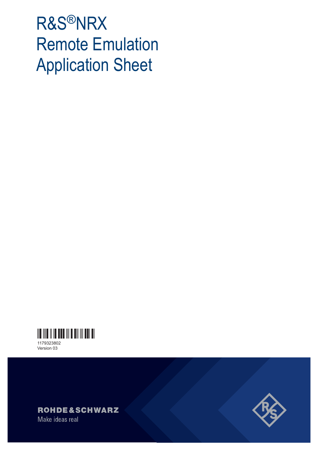# R&S®NRX Remote Emulation Application Sheet



Version 03



Make ideas real

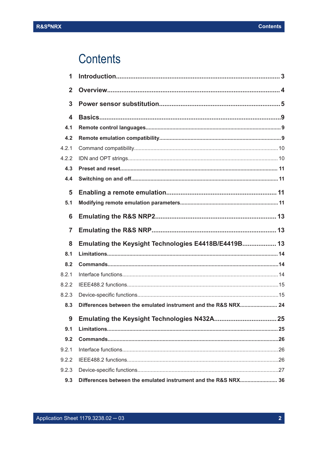# **Contents**

| 1                       |                                                                |  |
|-------------------------|----------------------------------------------------------------|--|
| $\overline{2}$          |                                                                |  |
| 3                       |                                                                |  |
| $\overline{\mathbf{4}}$ |                                                                |  |
| 4.1                     |                                                                |  |
| 4.2                     |                                                                |  |
| 4.2.1                   |                                                                |  |
| 4.2.2                   |                                                                |  |
| 4.3                     |                                                                |  |
| 4.4                     |                                                                |  |
| 5                       |                                                                |  |
| 5.1                     |                                                                |  |
| 6                       |                                                                |  |
| 7                       |                                                                |  |
| 8                       | Emulating the Keysight Technologies E4418B/E4419B 13           |  |
| 8.1                     |                                                                |  |
| 8.2                     |                                                                |  |
| 8.2.1                   |                                                                |  |
| 8.2.2                   |                                                                |  |
| 8.2.3                   |                                                                |  |
| 8.3                     | Differences between the emulated instrument and the R&S NRX 24 |  |
| 9                       |                                                                |  |
| 9.1                     |                                                                |  |
| 9.2                     |                                                                |  |
| 9.2.1                   |                                                                |  |
| 9.2.2                   |                                                                |  |
| 9.2.3                   |                                                                |  |
| 9.3                     | Differences between the emulated instrument and the R&S NRX 36 |  |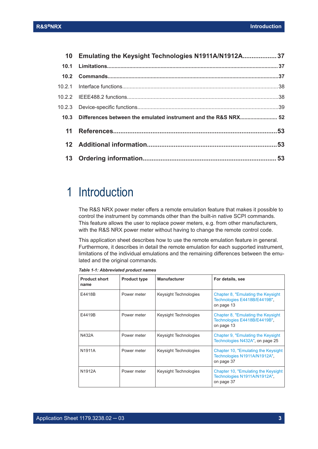<span id="page-2-0"></span>

| 10 Emulating the Keysight Technologies N1911A/N1912A 37             |  |
|---------------------------------------------------------------------|--|
|                                                                     |  |
|                                                                     |  |
|                                                                     |  |
|                                                                     |  |
|                                                                     |  |
| 10.3 Differences between the emulated instrument and the R&S NRX 52 |  |
|                                                                     |  |
|                                                                     |  |
|                                                                     |  |
|                                                                     |  |

# 1 Introduction

The R&S NRX power meter offers a remote emulation feature that makes it possible to control the instrument by commands other than the built-in native SCPI commands. This feature allows the user to replace power meters, e.g. from other manufacturers, with the R&S NRX power meter without having to change the remote control code.

This application sheet describes how to use the remote emulation feature in general. Furthermore, it describes in detail the remote emulation for each supported instrument, limitations of the individual emulations and the remaining differences between the emulated and the original commands.

| <b>Product short</b><br>name | <b>Product type</b> | <b>Manufacturer</b>   | For details, see                                                                  |
|------------------------------|---------------------|-----------------------|-----------------------------------------------------------------------------------|
| E4418B                       | Power meter         | Keysight Technologies | Chapter 8, "Emulating the Keysight"<br>Technologies E4418B/E4419B"<br>on page 13  |
| E4419B                       | Power meter         | Keysight Technologies | Chapter 8, "Emulating the Keysight"<br>Technologies E4418B/E4419B"<br>on page 13  |
| N432A                        | Power meter         | Keysight Technologies | Chapter 9, "Emulating the Keysight"<br>Technologies N432A", on page 25            |
| N1911A                       | Power meter         | Keysight Technologies | Chapter 10, "Emulating the Keysight"<br>Technologies N1911A/N1912A"<br>on page 37 |
| N <sub>1912</sub> A          | Power meter         | Keysight Technologies | Chapter 10, "Emulating the Keysight"<br>Technologies N1911A/N1912A"<br>on page 37 |

*Table 1-1: Abbreviated product names*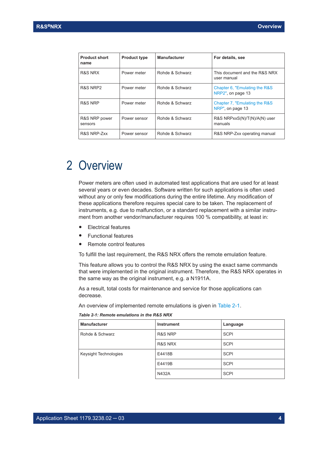<span id="page-3-0"></span>

| <b>Product short</b><br>name | <b>Product type</b> | <b>Manufacturer</b> | For details, see                                   |
|------------------------------|---------------------|---------------------|----------------------------------------------------|
| R&S NRX                      | Power meter         | Rohde & Schwarz     | This document and the R&S NRX<br>user manual       |
| R&S NRP2                     | Power meter         | Rohde & Schwarz     | Chapter 6, "Emulating the R&S"<br>NRP2" on page 13 |
| R&S NRP                      | Power meter         | Rohde & Schwarz     | Chapter 7, "Emulating the R&S<br>NRP" on page 13   |
| R&S NRP power<br>sensors     | Power sensor        | Rohde & Schwarz     | R&S NRPxxS(N)/T(N)/A(N) user<br>manuals            |
| R&S NRP-Zxx                  | Power sensor        | Rohde & Schwarz     | R&S NRP-Zxx operating manual                       |

# 2 Overview

Power meters are often used in automated test applications that are used for at least several years or even decades. Software written for such applications is often used without any or only few modifications during the entire lifetime. Any modification of these applications therefore requires special care to be taken. The replacement of instruments, e.g. due to malfunction, or a standard replacement with a similar instrument from another vendor/manufacturer requires 100 % compatibility, at least in:

- **Electrical features**
- **Functional features**
- Remote control features

To fulfill the last requirement, the R&S NRX offers the remote emulation feature.

This feature allows you to control the R&S NRX by using the exact same commands that were implemented in the original instrument. Therefore, the R&S NRX operates in the same way as the original instrument, e.g. a N1911A.

As a result, total costs for maintenance and service for those applications can decrease.

An overview of implemented remote emulations is given in Table 2-1.

| <b>Manufacturer</b>   | <b>Instrument</b> | Language    |
|-----------------------|-------------------|-------------|
| Rohde & Schwarz       | R&S NRP           | <b>SCPI</b> |
|                       | R&S NRX           | <b>SCPI</b> |
| Keysight Technologies | E4418B            | <b>SCPI</b> |
|                       | E4419B            | <b>SCPI</b> |
|                       | <b>N432A</b>      | <b>SCPI</b> |

*Table 2-1: Remote emulations in the R&S NRX*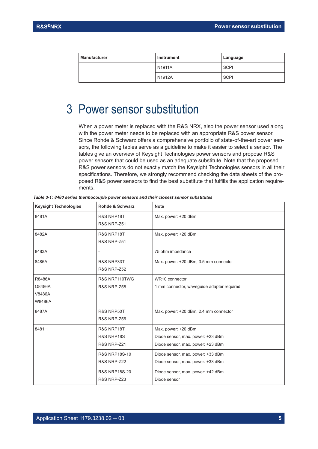<span id="page-4-0"></span>

| <b>Manufacturer</b> | Instrument | Language    |  |
|---------------------|------------|-------------|--|
|                     | N1911A     | <b>SCPI</b> |  |
|                     | N1912A     | <b>SCPI</b> |  |

# 3 Power sensor substitution

When a power meter is replaced with the R&S NRX, also the power sensor used along with the power meter needs to be replaced with an appropriate R&S power sensor. Since Rohde & Schwarz offers a comprehensive portfolio of state-of-the-art power sensors, the following tables serve as a guideline to make it easier to select a sensor. The tables give an overview of Keysight Technologies power sensors and propose R&S power sensors that could be used as an adequate substitute. Note that the proposed R&S power sensors do not exactly match the Keysight Technologies sensors in all their specifications. Therefore, we strongly recommend checking the data sheets of the proposed R&S power sensors to find the best substitute that fulfills the application requirements.

| <b>Keysight Technologies</b>                | Rohde & Schwarz                                    | <b>Note</b>                                                                                   |
|---------------------------------------------|----------------------------------------------------|-----------------------------------------------------------------------------------------------|
| 8481A                                       | R&S NRP18T<br><b>R&amp;S NRP-Z51</b>               | Max. power: +20 dBm                                                                           |
| 8482A                                       | R&S NRP18T<br><b>R&amp;S NRP-Z51</b>               | Max. power: +20 dBm                                                                           |
| 8483A                                       | $\overline{\phantom{0}}$                           | 75 ohm impedance                                                                              |
| 8485A                                       | R&S NRP33T<br><b>R&amp;S NRP-Z52</b>               | Max. power: +20 dBm, 3.5 mm connector                                                         |
| R8486A<br>Q8486A<br>V8486A<br><b>W8486A</b> | R&S NRP110TWG<br><b>R&amp;S NRP-Z58</b>            | WR10 connector<br>1 mm connector, waveguide adapter required                                  |
| 8487A                                       | R&S NRP50T<br><b>R&amp;S NRP-Z56</b>               | Max. power: +20 dBm, 2.4 mm connector                                                         |
| 8481H                                       | R&S NRP18T<br>R&S NRP18S<br><b>R&amp;S NRP-Z21</b> | Max. power: +20 dBm<br>Diode sensor, max. power: +23 dBm<br>Diode sensor, max. power: +23 dBm |
|                                             | <b>R&amp;S NRP18S-10</b><br><b>R&amp;S NRP-Z22</b> | Diode sensor, max. power: +33 dBm<br>Diode sensor, max. power: +33 dBm                        |
|                                             | <b>R&amp;S NRP18S-20</b><br><b>R&amp;S NRP-Z23</b> | Diode sensor, max. power: +42 dBm<br>Diode sensor                                             |

*Table 3-1: 8480 series thermocouple power sensors and their closest sensor substitutes*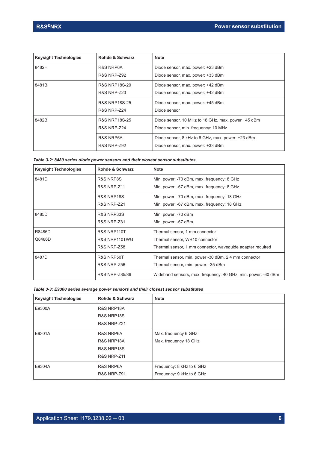| <b>Keysight Technologies</b> | Rohde & Schwarz          | <b>Note</b>                                        |
|------------------------------|--------------------------|----------------------------------------------------|
| 8482H                        | R&S NRP6A                | Diode sensor, max. power: +23 dBm                  |
|                              | <b>R&amp;S NRP-Z92</b>   | Diode sensor, max. power: +33 dBm                  |
| 8481B                        | <b>R&amp;S NRP18S-20</b> | Diode sensor, max. power: +42 dBm                  |
|                              | <b>R&amp;S NRP-Z23</b>   | Diode sensor, max. power: +42 dBm                  |
|                              | <b>R&amp;S NRP18S-25</b> | Diode sensor, max. power: +45 dBm                  |
|                              | <b>R&amp;S NRP-Z24</b>   | Diode sensor                                       |
| 8482B                        | <b>R&amp;S NRP18S-25</b> | Diode sensor, 10 MHz to 18 GHz, max. power +45 dBm |
|                              | <b>R&amp;S NRP-Z24</b>   | Diode sensor, min. frequency: 10 MHz               |
|                              | R&S NRP6A                | Diode sensor, 8 kHz to 6 GHz, max. power: +23 dBm  |
|                              | <b>R&amp;S NRP-Z92</b>   | Diode sensor, max. power: +33 dBm                  |

|  |  | Table 3-2: 8480 series diode power sensors and their closest sensor substitutes |
|--|--|---------------------------------------------------------------------------------|
|--|--|---------------------------------------------------------------------------------|

| <b>Keysight Technologies</b> | Rohde & Schwarz        | <b>Note</b>                                                   |
|------------------------------|------------------------|---------------------------------------------------------------|
| 8481D                        | R&S NRP8S              | Min. power: -70 dBm, max. frequency: 8 GHz                    |
|                              | <b>R&amp;S NRP-Z11</b> | Min. power: -67 dBm, max. frequency: 8 GHz                    |
|                              | R&S NRP18S             | Min. power: -70 dBm, max. frequency: 18 GHz                   |
|                              | <b>R&amp;S NRP-Z21</b> | Min. power: -67 dBm, max. frequency: 18 GHz                   |
| 8485D                        | R&S NRP33S             | Min. power: -70 dBm                                           |
|                              | <b>R&amp;S NRP-Z31</b> | Min. power: -67 dBm                                           |
| R8486D                       | R&S NRP110T            | Thermal sensor, 1 mm connector                                |
| Q8486D                       | R&S NRP110TWG          | Thermal sensor, WR10 connector                                |
|                              | <b>R&amp;S NRP-Z58</b> | Thermal sensor, 1 mm connector, waveguide adapter required    |
| 8487D                        | R&S NRP50T             | Thermal sensor, min. power -30 dBm, 2.4 mm connector          |
|                              | <b>R&amp;S NRP-Z56</b> | Thermal sensor, min. power: -35 dBm                           |
|                              | R&S NRP-Z85/86         | Wideband sensors, max. frequency: 40 GHz, min. power: -60 dBm |

#### *Table 3-3: E9300 series average power sensors and their closest sensor substitutes*

| <b>Keysight Technologies</b> | Rohde & Schwarz        | <b>Note</b>               |
|------------------------------|------------------------|---------------------------|
| E9300A                       | R&S NRP18A             |                           |
|                              | R&S NRP18S             |                           |
|                              | <b>R&amp;S NRP-Z21</b> |                           |
| E9301A                       | R&S NRP6A              | Max. frequency 6 GHz      |
|                              | R&S NRP18A             | Max. frequency 18 GHz     |
|                              | R&S NRP18S             |                           |
|                              | <b>R&amp;S NRP-Z11</b> |                           |
| E9304A                       | R&S NRP6A              | Frequency: 8 kHz to 6 GHz |
|                              | <b>R&amp;S NRP-Z91</b> | Frequency: 9 kHz to 6 GHz |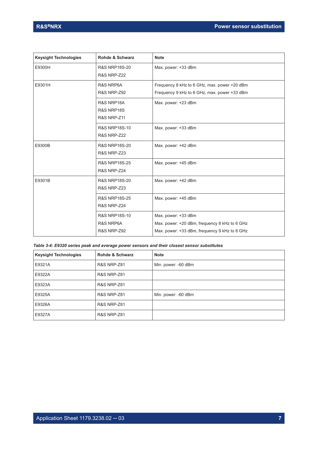| <b>Keysight Technologies</b> | Rohde & Schwarz          | <b>Note</b>                                   |
|------------------------------|--------------------------|-----------------------------------------------|
| E9300H                       | <b>R&amp;S NRP18S-20</b> | Max. power: +33 dBm                           |
|                              | <b>R&amp;S NRP-Z22</b>   |                                               |
| E9301H                       | R&S NRP6A                | Frequency 8 kHz to 6 GHz, max. power +20 dBm  |
|                              | <b>R&amp;S NRP-Z92</b>   | Frequency 9 kHz to 6 GHz, max. power +33 dBm  |
|                              | R&S NRP18A               | Max. power: +23 dBm                           |
|                              | R&S NRP18S               |                                               |
|                              | <b>R&amp;S NRP-Z11</b>   |                                               |
|                              | <b>R&amp;S NRP18S-10</b> | Max. power: +33 dBm                           |
|                              | <b>R&amp;S NRP-Z22</b>   |                                               |
| E9300B                       | <b>R&amp;S NRP18S-20</b> | Max. power: +42 dBm                           |
|                              | <b>R&amp;S NRP-Z23</b>   |                                               |
|                              | <b>R&amp;S NRP18S-25</b> | Max. power: +45 dBm                           |
|                              | R&S NRP-Z24              |                                               |
| E9301B                       | <b>R&amp;S NRP18S-20</b> | Max. power: +42 dBm                           |
|                              | <b>R&amp;S NRP-Z23</b>   |                                               |
|                              | <b>R&amp;S NRP18S-25</b> | Max. power: +45 dBm                           |
|                              | <b>R&amp;S NRP-Z24</b>   |                                               |
|                              | <b>R&amp;S NRP18S-10</b> | Max. power: +33 dBm                           |
|                              | R&S NRP6A                | Max. power: +20 dBm, frequency 8 kHz to 6 GHz |
|                              | <b>R&amp;S NRP-Z92</b>   | Max. power: +33 dBm, frequency 9 kHz to 6 GHz |

| Table 3-4: E9320 series peak and average power sensors and their closest sensor substitutes |
|---------------------------------------------------------------------------------------------|
|---------------------------------------------------------------------------------------------|

| <b>Keysight Technologies</b> | Rohde & Schwarz        | <b>Note</b>         |
|------------------------------|------------------------|---------------------|
| E9321A                       | <b>R&amp;S NRP-Z81</b> | Min. power: -60 dBm |
| E9322A                       | <b>R&amp;S NRP-Z81</b> |                     |
| E9323A                       | <b>R&amp;S NRP-Z81</b> |                     |
| E9325A                       | <b>R&amp;S NRP-Z81</b> | Min. power: -60 dBm |
| E9326A                       | <b>R&amp;S NRP-Z81</b> |                     |
| E9327A                       | <b>R&amp;S NRP-Z81</b> |                     |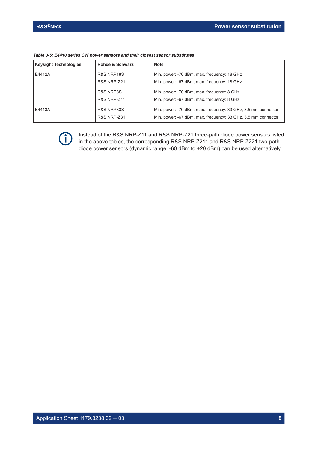| <b>Keysight Technologies</b> | <b>Rohde &amp; Schwarz</b> | <b>Note</b>                                                   |
|------------------------------|----------------------------|---------------------------------------------------------------|
| E4412A                       | R&S NRP18S                 | Min. power: -70 dBm, max. frequency: 18 GHz                   |
|                              | <b>R&amp;S NRP-Z21</b>     | Min. power: -67 dBm, max. frequency: 18 GHz                   |
|                              | R&S NRP8S                  | Min. power: -70 dBm, max. frequency: 8 GHz                    |
|                              | <b>R&amp;S NRP-Z11</b>     | Min. power: -67 dBm, max. frequency: 8 GHz                    |
| E4413A                       | R&S NRP33S                 | Min. power: -70 dBm, max. frequency: 33 GHz, 3.5 mm connector |
|                              | <b>R&amp;S NRP-Z31</b>     | Min. power: -67 dBm, max. frequency: 33 GHz, 3.5 mm connector |

*Table 3-5: E4410 series CW power sensors and their closest sensor substitutes*



Instead of the R&S NRP-Z11 and R&S NRP-Z21 three-path diode power sensors listed in the above tables, the corresponding R&S NRP-Z211 and R&S NRP-Z221 two-path diode power sensors (dynamic range: -60 dBm to +20 dBm) can be used alternatively.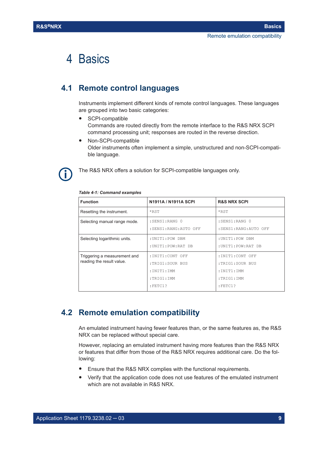# <span id="page-8-0"></span>4 Basics

## **4.1 Remote control languages**

Instruments implement different kinds of remote control languages. These languages are grouped into two basic categories:

- SCPI-compatible Commands are routed directly from the remote interface to the R&S NRX SCPI command processing unit; responses are routed in the reverse direction.
- Non-SCPI-compatible Older instruments often implement a simple, unstructured and non-SCPI-compatible language.



The R&S NRX offers a solution for SCPI-compatible languages only.

| <b>Function</b>                                           | <b>N1911A / N1911A SCPI</b>                                                  | <b>R&amp;S NRX SCPI</b>                                                       |
|-----------------------------------------------------------|------------------------------------------------------------------------------|-------------------------------------------------------------------------------|
| Resetting the instrument.                                 | $*$ RST                                                                      | $*$ RST                                                                       |
| Selecting manual range mode.                              | : SENS1: RANG 0<br>: SENS1: RANG: AUTO OFF                                   | : SENS1: RANG 0<br>: SENS1: RANG: AUTO OFF                                    |
| Selecting logarithmic units.                              | : UNIT1: POW DBM<br>: UNIT1: POW: RAT DB                                     | : UNIT1: POW DBM<br>: UNIT1: POW: RAT DB                                      |
| Triggering a measurement and<br>reading the result value. | :INIT1:CONT OFF<br>:TRIG1:SOUR BUS<br>:INIT1:IMM<br>:TRIG1:IMM<br>$:$ FETC1? | : INIT1: CONT OFF<br>:TRIG1:SOUR BUS<br>:INT1:IMM<br>:TRIG1:IMM<br>$:$ FETC1? |

#### *Table 4-1: Command examples*

## **4.2 Remote emulation compatibility**

An emulated instrument having fewer features than, or the same features as, the R&S NRX can be replaced without special care.

However, replacing an emulated instrument having more features than the R&S NRX or features that differ from those of the R&S NRX requires additional care. Do the following:

- Ensure that the R&S NRX complies with the functional requirements.
- Verify that the application code does not use features of the emulated instrument which are not available in R&S NRX.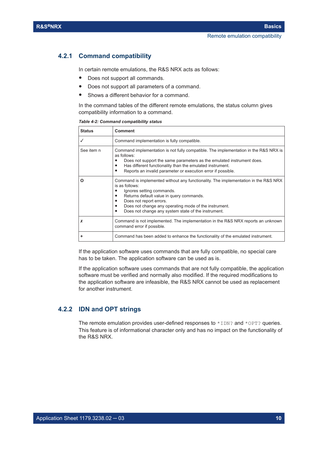#### <span id="page-9-0"></span>**4.2.1 Command compatibility**

In certain remote emulations, the R&S NRX acts as follows:

- Does not support all commands.
- Does not support all parameters of a command.
- Shows a different behavior for a command.

In the command tables of the different remote emulations, the status column gives compatibility information to a command.

|  | Table 4-2: Command compatibility status |
|--|-----------------------------------------|
|--|-----------------------------------------|

| <b>Status</b> | <b>Comment</b>                                                                                                                                                                                                                                                                                                                              |
|---------------|---------------------------------------------------------------------------------------------------------------------------------------------------------------------------------------------------------------------------------------------------------------------------------------------------------------------------------------------|
|               | Command implementation is fully compatible.                                                                                                                                                                                                                                                                                                 |
| See item n    | Command implementation is not fully compatible. The implementation in the R&S NRX is<br>as follows:<br>Does not support the same parameters as the emulated instrument does.<br>Has different functionality than the emulated instrument.<br>٠<br>Reports an invalid parameter or execution error if possible.                              |
| Ο             | Command is implemented without any functionality. The implementation in the R&S NRX<br>is as follows:<br>Ignores setting commands.<br>Returns default value in query commands.<br>٠<br>Does not report errors.<br>Does not change any operating mode of the instrument.<br>Does not change any system state of the instrument.<br>$\bullet$ |
|               | Command is not implemented. The implementation in the R&S NRX reports an unknown<br>command error if possible.                                                                                                                                                                                                                              |
|               | Command has been added to enhance the functionality of the emulated instrument.                                                                                                                                                                                                                                                             |

If the application software uses commands that are fully compatible, no special care has to be taken. The application software can be used as is.

If the application software uses commands that are not fully compatible, the application software must be verified and normally also modified. If the required modifications to the application software are infeasible, the R&S NRX cannot be used as replacement for another instrument.

#### **4.2.2 IDN and OPT strings**

The remote emulation provides user-defined responses to  $*$ IDN? and  $*$ OPT? queries. This feature is of informational character only and has no impact on the functionality of the R&S NRX.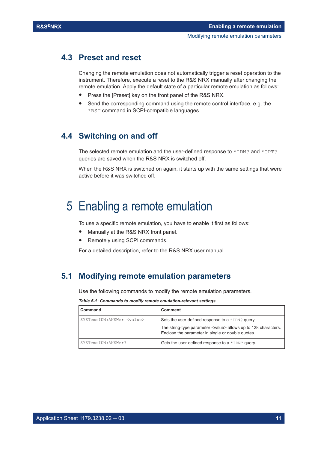## <span id="page-10-0"></span>**4.3 Preset and reset**

Changing the remote emulation does not automatically trigger a reset operation to the instrument. Therefore, execute a reset to the R&S NRX manually after changing the remote emulation. Apply the default state of a particular remote emulation as follows:

- Press the [Preset] key on the front panel of the R&S NRX.
- Send the corresponding command using the remote control interface, e.g. the \*RST command in SCPI-compatible languages.

## **4.4 Switching on and off**

The selected remote emulation and the user-defined response to  $*$  IDN? and  $*$ OPT? queries are saved when the R&S NRX is switched off.

When the R&S NRX is switched on again, it starts up with the same settings that were active before it was switched off.

# 5 Enabling a remote emulation

To use a specific remote emulation, you have to enable it first as follows:

- Manually at the R&S NRX front panel.
- Remotely using SCPI commands.

For a detailed description, refer to the R&S NRX user manual.

## **5.1 Modifying remote emulation parameters**

Use the following commands to modify the remote emulation parameters.

#### *Table 5-1: Commands to modify remote emulation-relevant settings*

| Command                             | Comment                                                                                                                      |
|-------------------------------------|------------------------------------------------------------------------------------------------------------------------------|
| SYSTem: IDN: ANSWer <value></value> | Sets the user-defined response to a $*$ IDN? query.                                                                          |
|                                     | The string-type parameter <value> allows up to 128 characters.<br/>Enclose the parameter in single or double quotes.</value> |
| SYSTem: IDN: ANSWer?                | Gets the user-defined response to a $*$ IDN? query.                                                                          |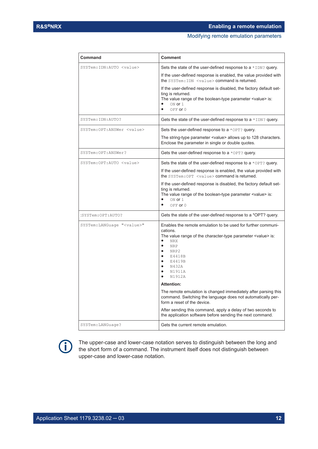#### Modifying remote emulation parameters

| SYSTem: IDN: AUTO <value></value>   | Sets the state of the user-defined response to a $*$ IDN? query.<br>If the user-defined response is enabled, the value provided with<br>the SYSTem: IDN <value> command is returned.<br/>If the user-defined response is disabled, the factory default set-<br/>ting is returned.<br/>The value range of the boolean-type parameter <value> is:</value></value>                                |
|-------------------------------------|------------------------------------------------------------------------------------------------------------------------------------------------------------------------------------------------------------------------------------------------------------------------------------------------------------------------------------------------------------------------------------------------|
|                                     | ON or 1<br>OFF or 0<br>$\bullet$                                                                                                                                                                                                                                                                                                                                                               |
| SYSTem: IDN: AUTO?                  | Gets the state of the user-defined response to a $*$ IDN? query.                                                                                                                                                                                                                                                                                                                               |
| SYSTem: OPT: ANSWer <value></value> | Sets the user-defined response to a $*$ OPT? query.<br>The string-type parameter <value> allows up to 128 characters.<br/>Enclose the parameter in single or double quotes.</value>                                                                                                                                                                                                            |
| SYSTem: OPT: ANSWer?                | Gets the user-defined response to a $*$ OPT? query.                                                                                                                                                                                                                                                                                                                                            |
| SYSTem: OPT: AUTO <value></value>   | Sets the state of the user-defined response to a $*$ OPT? query.<br>If the user-defined response is enabled, the value provided with<br>the SYSTem: OPT <value> command is returned.<br/>If the user-defined response is disabled, the factory default set-<br/>ting is returned.<br/>The value range of the boolean-type parameter <value> is:<br/>ON or 1<br/>OFF or 0<br/>٠</value></value> |
| :SYSTem:OPT:AUTO?                   | Gets the state of the user-defined response to a *OPT? query.                                                                                                                                                                                                                                                                                                                                  |
| SYSTem: LANGuage " <value>"</value> | Enables the remote emulation to be used for further communi-<br>cations.<br>The value range of the character-type parameter $\le$ value> is:<br><b>NRX</b><br>$\bullet$<br><b>NRP</b><br>$\bullet$<br>NRP2<br>E4418B<br>E4419B<br>N432A<br>٠<br>N1911A<br>N1912A<br>$\bullet$                                                                                                                  |
|                                     | <b>Attention:</b>                                                                                                                                                                                                                                                                                                                                                                              |
|                                     | The remote emulation is changed immediately after parsing this<br>command. Switching the language does not automatically per-<br>form a reset of the device.                                                                                                                                                                                                                                   |
|                                     | After sending this command, apply a delay of two seconds to<br>the application software before sending the next command.                                                                                                                                                                                                                                                                       |
| SYSTem: LANGuage?                   | Gets the current remote emulation.                                                                                                                                                                                                                                                                                                                                                             |

**Command Comment**



The upper-case and lower-case notation serves to distinguish between the long and the short form of a command. The instrument itself does not distinguish between upper-case and lower-case notation.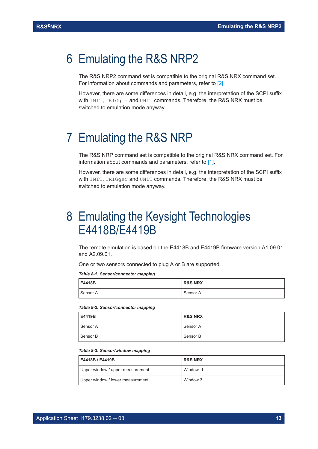# <span id="page-12-0"></span>6 Emulating the R&S NRP2

The R&S NRP2 command set is compatible to the original R&S NRX command set. For information about commands and parameters, refer to [\[2\]](#page-52-0).

However, there are some differences in detail, e.g. the interpretation of the SCPI suffix with INIT, TRIGGer and UNIT commands. Therefore, the R&S NRX must be switched to emulation mode anyway.

# 7 Emulating the R&S NRP

The R&S NRP command set is compatible to the original R&S NRX command set. For information about commands and parameters, refer to [\[1\]](#page-52-0).

However, there are some differences in detail, e.g. the interpretation of the SCPI suffix with INIT, TRIGger and UNIT commands. Therefore, the R&S NRX must be switched to emulation mode anyway.

# 8 Emulating the Keysight Technologies E4418B/E4419B

The remote emulation is based on the E4418B and E4419B firmware version A1.09.01 and A2.09.01.

One or two sensors connected to plug A or B are supported.

*Table 8-1: Sensor/connector mapping*

| E4418B   | <b>R&amp;S NRX</b> |
|----------|--------------------|
| Sensor A | Sensor A           |

#### *Table 8-2: Sensor/connector mapping*

| E4419B     | <b>R&amp;S NRX</b> |
|------------|--------------------|
| l Sensor A | Sensor A           |
| l Sensor B | Sensor B           |

#### *Table 8-3: Sensor/window mapping*

| E4418B / E4419B                  | <b>R&amp;S NRX</b> |
|----------------------------------|--------------------|
| Upper window / upper measurement | Window 1           |
| Upper window / lower measurement | Window 3           |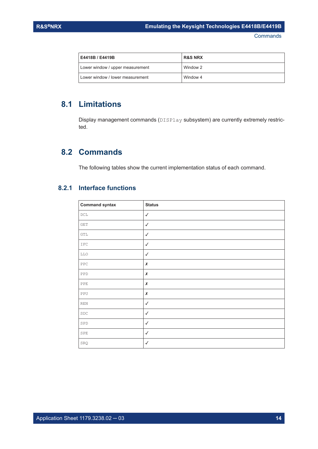<span id="page-13-0"></span>

| E4418B / E4419B                  | <b>R&amp;S NRX</b> |
|----------------------------------|--------------------|
| Lower window / upper measurement | Window 2           |
| Lower window / lower measurement | Window 4           |

# **8.1 Limitations**

Display management commands (DISPlay subsystem) are currently extremely restricted.

## **8.2 Commands**

The following tables show the current implementation status of each command.

#### **8.2.1 Interface functions**

| <b>Command syntax</b>       | <b>Status</b> |
|-----------------------------|---------------|
| $_{\rm DCL}$                | $\checkmark$  |
| <b>GET</b>                  | $\checkmark$  |
| GTL                         | $\checkmark$  |
| IFC                         | $\checkmark$  |
| LLO                         | $\checkmark$  |
| ${\tt PPC}$                 | $\pmb{\chi}$  |
| PPD                         | $\pmb{\chi}$  |
| PPE                         | $\pmb{\chi}$  |
| PPU                         | $\pmb{\chi}$  |
| $\mathop{\rm REN}\nolimits$ | $\checkmark$  |
| SDC                         | $\checkmark$  |
| SPD                         | $\checkmark$  |
| SPE                         | $\checkmark$  |
| SRQ                         | $\checkmark$  |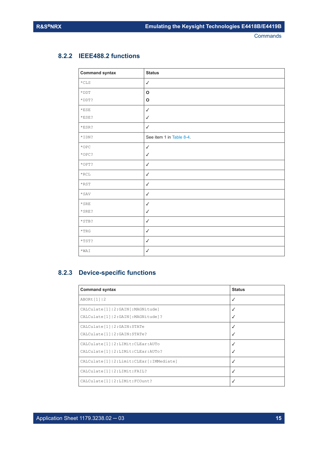#### <span id="page-14-0"></span>**8.2.2 IEEE488.2 functions**

| <b>Command syntax</b> | <b>Status</b>            |
|-----------------------|--------------------------|
| $\star$ CLS           | $\checkmark$             |
| $\star$ DDT           | $\mathbf{o}$             |
| *DDT?                 | $\mathbf o$              |
| $*$ ESE               | $\checkmark$             |
| $*$ ESE?              | $\checkmark$             |
| *ESR?                 | $\checkmark$             |
| *IDN?                 | See item 1 in Table 8-4. |
| $\star$ OPC           | $\checkmark$             |
| *OPC?                 | $\checkmark$             |
| *OPT?                 | $\checkmark$             |
| $\star$ RCL           | $\checkmark$             |
| $*$ RST               | $\checkmark$             |
| $\star$ SAV           | $\checkmark$             |
| $\star$ SRE           | $\checkmark$             |
| *SRE?                 | $\checkmark$             |
| $*$ STB?              | $\checkmark$             |
| $^{\star} {\rm TRG}$  | $\checkmark$             |
| $*$ TST?              | $\checkmark$             |
| $*$ WAI               | $\checkmark$             |

## **8.2.3 Device-specific functions**

| <b>Command syntax</b>                         | <b>Status</b> |
|-----------------------------------------------|---------------|
| ABORt[1] 2                                    | $\checkmark$  |
| CALCulate [1]   2: GAIN [: MAGNitude]         |               |
| CALCulate [1]   2: GAIN [: MAGNitude] ?       |               |
| CALCulate [1]   2: GAIN: STATe                | $\checkmark$  |
| CALCulate [1]   2: GAIN: STATe?               |               |
| CALCulate [1]   2: LIMit: CLEar: AUTo         |               |
| CALCulate [1]   2: LIMit: CLEar: AUTo?        | √             |
| CALCulate [1]   2: Limit: CLEar [: IMMediate] | √             |
| CALCulate [1]   2: LIMit: FAIL?               | ✓             |
| CALCulate [1]   2: LIMit: FCOunt?             | √             |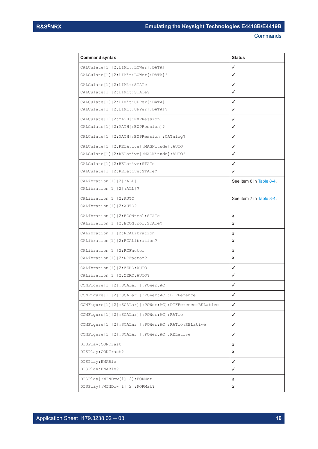| <b>Command syntax</b>                                            | <b>Status</b>            |
|------------------------------------------------------------------|--------------------------|
| CALCulate [1]   2: LIMit: LOWer [: DATA]                         | ✓                        |
| CALCulate [1]   2: LIMit: LOWer [: DATA] ?                       | ✓                        |
| CALCulate [1]   2: LIMit: STATe                                  | ✓                        |
| CALCulate [1]   2: LIMit: STATe?                                 | ✓                        |
| CALCulate [1]   2: LIMit: UPPer [: DATA]                         | ✓                        |
| CALCulate [1]   2: LIMit: UPPer [: DATA] ?                       | ✓                        |
| CALCulate [1]   2: MATH [: EXPRession]                           | ✓                        |
| CALCulate [1]   2: MATH [: EXPRession]?                          | ✓                        |
| CALCulate[1]   2: MATH [: EXPRession] : CATalog?                 | ✓                        |
| CALCulate [1]   2: RELative [: MAGNitude]: AUTO                  | ✓                        |
| CALCulate [1]   2: RELative [: MAGNitude] : AUTO?                | ✓                        |
| CALCulate [1]   2: RELative: STATe                               | ✓                        |
| CALCulate [1]   2: RELative: STATe?                              | ✓                        |
| CALibration [1]   2 [ : ALL]                                     | See item 6 in Table 8-4. |
| CALibration [1]   2 [: ALL] ?                                    |                          |
| CALibration [1]   2: AUTO                                        | See item 7 in Table 8-4. |
| CALibration [1]   2: AUTO?                                       |                          |
| CALibration [1]   2: ECONtrol: STATe                             | x                        |
| CALibration [1]   2: ECONtrol: STATe?                            | x                        |
| CALibration [1]   2: RCALibration                                | x                        |
| CALibration [1]   2: RCALibration?                               | x                        |
| CALibration [1]   2: RCFactor                                    | x                        |
| CALibration [1]   2: RCFactor?                                   | x                        |
| CALibration [1]   2: ZERO: AUTO                                  | ✓                        |
| CALibration [1]   2: ZERO: AUTO?                                 | ✓                        |
| CONFigure [1]   2 [: SCALar] [: POWer: AC]                       | ✓                        |
| CONFigure [1]   2 [: SCALar] [: POWer: AC] : DIFFerence          | ✓                        |
| CONFigure[1]   2 [: SCALar] [: POWer: AC] : DIFFerence: RELative | $\checkmark$             |
| CONFigure[1]   2 [: SCALar] [: POWer: AC] : RATio                | $\checkmark$             |
| CONFigure [1]   2 [: SCALar] [: POWer: AC]: RATio: RELative      | $\checkmark$             |
| CONFigure[1]   2 [: SCALar] [: POWer: AC] : RELative             | $\checkmark$             |
| DISPlay: CONTrast                                                | x                        |
| DISPlay: CONTrast?                                               | x                        |
| DISPlay:ENABle                                                   | $\checkmark$             |
| DISPlay: ENABle?                                                 | ✓                        |
| DISPlay [: WINDow [1]   2] : FORMat                              | x                        |
| DISPlay [: WINDow [1]   2] : FORMat?                             | X                        |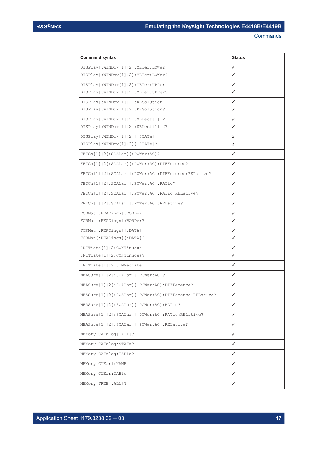| <b>Command syntax</b>                                           | <b>Status</b> |
|-----------------------------------------------------------------|---------------|
| DISPlay [: WINDow [1]   2] : METer: LOWer                       | ✓             |
| DISPlay[:WINDow[1] 2]:METer:LOWer?                              | ✓             |
| DISPlay[:WINDow[1] 2]:METer:UPPer                               | ✓             |
| DISPlay[:WINDow[1] 2]:METer:UPPer?                              | √             |
| DISPlay [: WINDow [1]   2] : RESolution                         | ✓             |
| DISPlay[:WINDow[1] 2]:RESolution?                               | ✓             |
| DISPlay[:WINDow[1] 2]:SELect[1] 2                               | ✓             |
| DISPlay[:WINDow[1] 2]:SELect[1] 2?                              | ✓             |
| DISPlay [: WINDow [1]   2] [: STATe]                            | x             |
| DISPlay[:WINDow[1] 2][:STATe]?                                  | x             |
| FETCh[1] 2[:SCALar][:POWer:AC]?                                 | ✓             |
| FETCh[1]   2 [: SCALar] [: POWer: AC] : DIFFerence?             | ✓             |
| FETCh[1]   2 [: SCALar] [: POWer: AC] : DIFFerence: RELative?   | ✓             |
| FETCh[1] 2[:SCALar][:POWer:AC]:RATio?                           | ✓             |
| FETCh[1] 2[:SCALar][:POWer:AC]:RATio:RELative?                  | ✓             |
| FETCh[1]   2 [: SCALar] [: POWer: AC] : RELative?               | ✓             |
| FORMat[:READings]:BORDer                                        | ✓             |
| FORMat[:READings]:BORDer?                                       | ✓             |
| FORMat[:READings][:DATA]                                        | ✓             |
| FORMat[:READings][:DATA]?                                       | ✓             |
| INITiate[1]   2: CONTinuous                                     | ✓             |
| INITiate[1]   2: CONTinuous?                                    | ✓             |
| INITiate[1] 2[:IMMediate]                                       | ✓             |
| MEASure [1]   2 [: SCALar] [: POWer: AC] ?                      | ✓             |
| MEASure[1]   2 [: SCALar] [: POWer: AC] : DIFFerence?           | ✓             |
| MEASure[1]   2 [: SCALar] [: POWer: AC] : DIFFerence: RELative? | ✓             |
| MEASure[1] 2[:SCALar][:POWer:AC]:RATio?                         | $\checkmark$  |
| MEASure[1]   2 [: SCALar] [: POWer: AC] : RATio: RELative?      | ✓             |
| MEASure[1]   2 [: SCALar] [: POWer: AC] : RELative?             | ✓             |
| MEMory: CATalog[: ALL]?                                         | ✓             |
| MEMory: CATalog: STATe?                                         | $\checkmark$  |
| MEMory: CATalog: TABLe?                                         | ✓             |
| MEMory: CLEar [: NAME]                                          | ✓             |
| MEMory: CLEar: TABle                                            | ✓             |
| MEMory: FREE [: ALL] ?                                          | ✓             |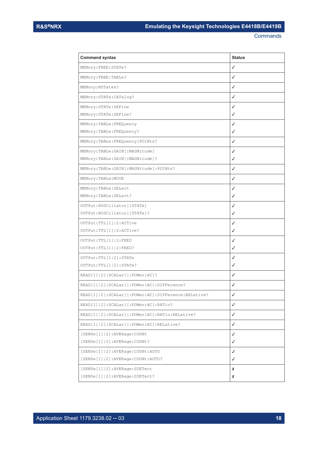| <b>Command syntax</b>                                        | <b>Status</b> |
|--------------------------------------------------------------|---------------|
| MEMory: FREE: STATe?                                         | $\checkmark$  |
| MEMory: FREE: TABLe?                                         | $\checkmark$  |
| MEMory: NSTates?                                             | ✓             |
| MEMory: STATe: CATalog?                                      | ✓             |
| MEMory: STATe: DEFine                                        | ✓             |
| MEMory: STATe: DEFine?                                       | ✓             |
| MEMory: TABLe: FREQuency                                     | ✓             |
| MEMory: TABLe: FREQuency?                                    | ✓             |
| MEMory: TABLe: FREQuency: POINts?                            | ✓             |
| MEMory:TABLe:GAIN[:MAGNitude]                                | ✓             |
| MEMory: TABLe: GAIN [: MAGNitude]?                           | ✓             |
| MEMory:TABLe:GAIN[:MAGNitude]:POINts?                        | ✓             |
| MEMory: TABLe: MOVE                                          | ✓             |
| MEMory: TABLe: SELect                                        | ✓             |
| MEMory: TABLe: SELect?                                       | ✓             |
| OUTPut: ROSCillator [: STATe]                                | ✓             |
| OUTPut: ROSCillator [: STATe] ?                              | ✓             |
| OUTPut: TTL[1] 2:ACTive                                      | ✓             |
| OUTPut:TTL[1] 2:ACTive?                                      | ✓             |
| OUTPut: TTL[1]   2: FEED                                     | ✓             |
| OUTPut: TTL[1] 2:FEED?                                       | ✓             |
| OUTPut: TTL[1 2]: STATe                                      | ✓             |
| OUTPut:TTL[1 2]:STATe?                                       | ✓             |
| READ[1]  2[:SCALar][:POWer:AC]?                              | ✓             |
| READ[1]   2 [: SCALar] [: POWer: AC] : DIFFerence?           | ✓             |
| READ[1]   2 [: SCALar] [: POWer: AC] : DIFFerence: RELative? | ✓             |
| READ[1]   2 [: SCALar] [: POWer: AC] : RATio?                | ✓             |
| READ[1] 2[:SCALar][:POWer:AC]:RATio:RELative?                | ✓             |
| READ[1]   2 [: SCALar] [: POWer: AC] : RELative?             | $\checkmark$  |
| [SENSe[1]   2] : AVERage: COUNt                              | ✓             |
| [SENSe[1] 2]:AVERage:COUNt?                                  | ✓             |
| [SENSe[1]   2]: AVERage: COUNt: AUTO                         | ✓             |
| [SENSe[1]   2]: AVERage: COUNt: AUTO?                        | ✓             |
| [SENSe[1]   2] : AVERage : SDETect                           | x             |
| [SENSe[1]   2] : AVERage : SDETect?                          | x             |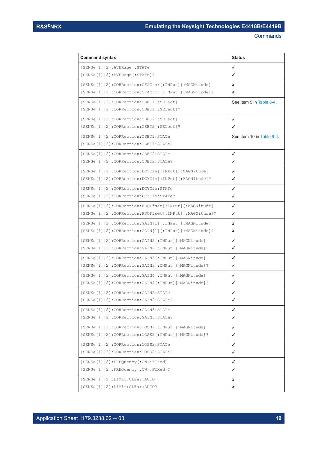| <b>Command syntax</b>                                                                  | <b>Status</b>            |
|----------------------------------------------------------------------------------------|--------------------------|
| $[{\tt SENSE[1] 2]:\tt AVERage[:STATE]}$                                               | ✓                        |
| $[{\tt SENSE[1] 2]:}$ AVERage $[{\tt :STATE}]$ ?                                       | ✓                        |
| [SENSe[1]   2]: CORRection: CFACtor [: INPut] [: MAGNitude]                            | X                        |
| [SENSe[1] 2]: CORRection: CFACtor [: INPut] [: MAGNitude]?                             | X                        |
| [SENSe[1]   2]: CORRection: CSET1 [: SELect]                                           | See item 9 in Table 8-4. |
| $[{\tt SENSE[1] 2]:CORRection:CSET1[:SElect]$ ?                                        |                          |
| [SENSe[1] 2]: CORRection: CSET2[: SELect]                                              | ✓                        |
| $[{\texttt{SENSe}}[1] 2]$ : CORRection: CSET2 $[:{\texttt{SELect}}]$ ?                 | ✓                        |
| [SENSe[1]   2]: CORRection: CSET1: STATe                                               | See item 10 in Table 8-4 |
| [SENSe[1] 2]: CORRection: CSET1: STATe?                                                |                          |
| [SENSe[1]   2]: CORRection: CSET2: STATe                                               | ✓                        |
| [SENSe[1] 2]: CORRection: CSET2: STATe?                                                | ✓                        |
| [SENSe[1]   2]: CORRection: DCYCle[: INPut][:MAGNitude]                                | ✓                        |
| [SENSe[1]   2]: CORRection: DCYCle[: INPut] [: MAGNitude]?                             | ✓                        |
| [SENSe[1]   2]: CORRection: DCYCle: STATe                                              | ✓                        |
| [SENSe[1]   2]: CORRection: DCYCle: STATe?                                             | ✓                        |
| [SENSe[1] 2]: CORRection: FDOFfset [: INPut] [: MAGNitude]                             | ✓                        |
| [SENSe[1]   2]: CORRection: FDOFfset [: INPut] [: MAGNitude] ?                         | ✓                        |
| [SENSe[1]   2]: CORRection: GAIN [1] [: INPut] [: MAGNitude]                           | x                        |
| [SENSe[1]   2]: CORRection: GAIN [1] [: INPut] [: MAGNitude]?                          | x                        |
| [SENSe[1] 2]: CORRection: GAIN2 [: INPut] [: MAGNitude]                                | ✓                        |
| [SENSe[1]   2]: CORRection: GAIN2 [: INPut] [: MAGNitude]?                             | ✓                        |
| [SENSe[1]   2]: CORRection: GAIN3 [: INPut] [: MAGNitude]                              | ✓                        |
| [SENSe[1] 2]: CORRection: GAIN3 [: INPut] [: MAGNitude]?                               | ✓                        |
| [SENSe[1]   2]: CORRection: GAIN4 [: INPut] [: MAGNitude]                              | ✓                        |
| [SENSe[1]   2]: CORRection: GAIN4 [: INPut] [: MAGNitude]?                             | ✓                        |
| $[SENSe[1]   2]$ :CORRection:GAIN2:STATe                                               | ✓                        |
| [SENSe[1]   2]: CORRection: GAIN2: STATe?                                              | ✓                        |
| [SENSe[1]   2]: CORRection: GAIN3: STATe                                               | ✓                        |
| [SENSe[1]   2]: CORRection: GAIN3: STATe?                                              | ✓                        |
| [SENSe[1]   2]: CORRection: LOSS2 [: INPut] [: MAGNitude]                              | ✓                        |
| [SENSe[1]   2]: CORRection: LOSS2 [: INPut] [: MAGNitude]?                             | ✓                        |
| [SENSe[1]   2]: CORRection: LOSS2: STATe                                               | ✓                        |
| [SENSe[1]   2]: CORRection: LOSS2: STATe?                                              | ✓                        |
| $[{\texttt{SENSe}}[1] 2]$ : ${\texttt{FREQuery}}[:{\texttt{CW}}]$ : ${\texttt{FIXed}}$ | ✓                        |
| $[{\texttt{SENSe}}[1] 2]$ : ${\texttt{FREQuery}}[:{\texttt{CW}} :{\texttt{FIXed}}]$ ?  | ✓                        |
| [SENSe[1]   2] : LIMit:CLEar: AUTO                                                     | x                        |
| [SENSe[1]   2]: LIMit: CLEar: AUTO?                                                    | x                        |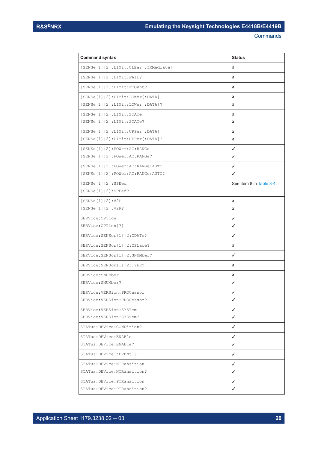| <b>Command syntax</b>                         | <b>Status</b>            |
|-----------------------------------------------|--------------------------|
| [SENSe[1]   2]: LIMit: CLEar [: IMMediate]    | x                        |
| $[SENSe[1]   2]$ : LIMit: FAIL?               | x                        |
| [SENSe[1]   2]: LIMit: FCOunt?                | x                        |
| $[{\tt SENSE[1] 2]:LIMit:LOWer[:DATA]}$       | x                        |
| [SENSe[1]   2]: LIMit: LOWer[: DATA]?         | x                        |
| $[{\tt SENSE[1] 2]:LIMit:STATE}$              | x                        |
| $[{\tt SENSE[1] 2]:LIMit:STATE?}$             | x                        |
| $[{\tt SENSE[1] 2]:{\tt LIMit:UPPer[:DATA}]}$ | x                        |
| $[{\tt SENSE[1] 2]:LIMit:UPPer[:DATA] ?}$     | x                        |
| $[{\tt SENSE[1] 2]:POWer:AC:RANGE}$           | ✓                        |
| [SENSe[1]   2] : Power: AC: RANGE?            | ✓                        |
| [SENSe[1]   2]: POWer: AC: RANGe: AUTO        | ✓                        |
| [SENSe[1]   2]: POWer: AC: RANGe: AUTO?       | ✓                        |
| $[SENSe[1]   2]$ : SPEed                      | See item 8 in Table 8-4. |
| [SENSe[1]   2] : SPEed?                       |                          |
| [SENSe [1]   2] : V2P                         | x                        |
| [SENSe[1]   2] : V2P?                         | x                        |
| SERVice: OPTion                               | ✓                        |
| SERVice: OPTion [?]                           | ✓                        |
| SERVice: SENSor[1]   2: CDATe?                | ✓                        |
| SERVice: SENSor[1]   2: CPLace?               | x                        |
| SERVice: SENSor[1]   2: SNUMber?              | ✓                        |
| SERVice: SENSor [1]   2: TYPE?                | x                        |
| SERVice: SNUMber                              | x                        |
| SERVice: SNUMber?                             | ✓                        |
| SERVice:VERSion:PROCessor                     | ✓                        |
| SERVice: VERSion: PROCessor?                  | ✓                        |
| SERVice: VERSion: SYSTem                      | ✓                        |
| SERVice: VERSion: SYSTem?                     | ✓                        |
| STATus: DEVice: CONDition?                    | ✓                        |
| STATus: DEVice: ENABle                        | ✓                        |
| STATus: DEVice: ENABle?                       | ✓                        |
| STATus: DEVice [: EVENt] ?                    | ✓                        |
| STATus: DEVice: NTRansition                   | ✓                        |
| STATus: DEVice: NTRansition?                  | ✓                        |
| STATus: DEVice: PTRansition                   | ✓                        |
| STATus: DEVice: PTRansition?                  | ✓                        |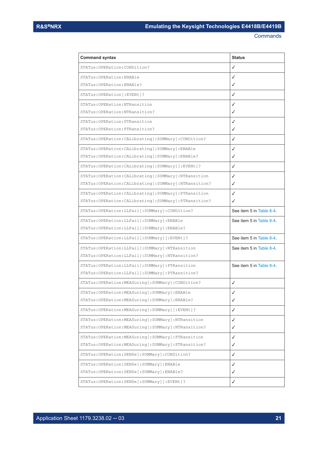| <b>Command syntax</b>                                    | <b>Status</b>            |
|----------------------------------------------------------|--------------------------|
| STATus: OPERation: CONDition?                            | ✓                        |
| STATus: OPERation: ENABle                                | √                        |
| STATus: OPERation: ENABle?                               | ✓                        |
| STATus: OPERation [: EVENt]?                             | ✓                        |
| STATus: OPERation: NTRansition                           | ✓                        |
| STATus: OPERation: NTRansition?                          | ✓                        |
| STATus: OPERation: PTRansition                           | ✓                        |
| STATus: OPERation: PTRansition?                          | ✓                        |
| STATus: OPERation: CALibrating [: SUMMary]: CONDition?   | ✓                        |
| STATus: OPERation: CALibrating [: SUMMary]: ENABle       | ✓                        |
| STATus: OPERation: CALibrating [: SUMMary]: ENABle?      | ✓                        |
| STATus: OPERation: CALibrating [: SUMMary] [: EVENt] ?   | ✓                        |
| STATus: OPERation: CALibrating [: SUMMary]: NTRansition  | √                        |
| STATus: OPERation: CALibrating [: SUMMary]: NTRansition? | ✓                        |
| STATus: OPERation: CALibrating [: SUMMary]: PTRansition  | ✓                        |
| STATus: OPERation: CALibrating [: SUMMary]: PTRansition? | ✓                        |
| STATus: OPERation: LLFail [: SUMMary]: CONDition?        | See item 5 in Table 8-4. |
| STATus: OPERation: LLFail [: SUMMary]: ENABle            | See item 5 in Table 8-4. |
| STATus: OPERation: LLFail [: SUMMary]: ENABle?           |                          |
| STATus: OPERation: LLFail [: SUMMary] [: EVENt] ?        | See item 5 in Table 8-4. |
| STATus: OPERation: LLFail [: SUMMary]: NTRansition       | See item 5 in Table 8-4. |
| STATus: OPERation: LLFail [: SUMMary]: NTRansition?      |                          |
| STATus: OPERation: LLFail [: SUMMary]: PTRansition       | See item 5 in Table 8-4. |
| STATus: OPERation: LLFail [: SUMMary]: PTRansition?      |                          |
| STATus: OPERation: MEASuring [: SUMMary]: CONDition?     | $\checkmark$             |
| STATus: OPERation: MEASuring [: SUMMary]: ENABle         | $\checkmark$             |
| STATus: OPERation: MEASuring [: SUMMary]: ENABle?        | ✓                        |
| STATus: OPERation: MEASuring [: SUMMary] [: EVENt] ?     | ✓                        |
| STATus: OPERation: MEASuring [: SUMMary]: NTRansition    | ✓                        |
| STATus: OPERation: MEASuring [: SUMMary]: NTRansition?   | ✓                        |
| STATus: OPERation: MEASuring [: SUMMary]: PTRansition    | ✓                        |
| STATus: OPERation: MEASuring [: SUMMary]: PTRansition?   | ✓                        |
| STATus: OPERation: SENSe [: SUMMary]: CONDition?         | ✓                        |
| STATus: OPERation: SENSe [: SUMMary]: ENABle             | ✓                        |
| STATus: OPERation: SENSe [: SUMMary]: ENABle?            | ✓                        |
| STATus: OPERation: SENSe [: SUMMary] [: EVENt] ?         | ✓                        |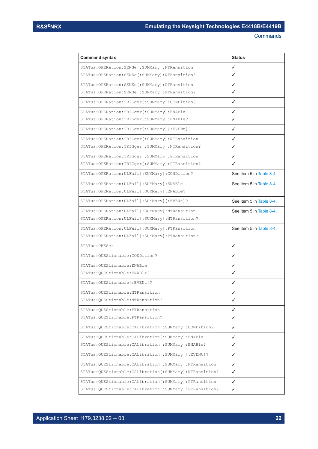| <b>Command syntax</b>                                       | <b>Status</b>            |
|-------------------------------------------------------------|--------------------------|
| STATus: OPERation: SENSe [: SUMMary]: NTRansition           | ✓                        |
| STATus: OPERation: SENSe [: SUMMary]: NTRansition?          | ✓                        |
| STATus: OPERation: SENSe [: SUMMary]: PTRansition           | ✓                        |
| STATus: OPERation: SENSe [: SUMMary]: PTRansition?          | √                        |
| STATus: OPERation: TRIGger [: SUMMary]: CONDition?          | ✓                        |
| STATus:OPERation:TRIGger[:SUMMary]:ENABle                   | √                        |
| STATus: OPERation: TRIGger [: SUMMary]: ENABle?             | √                        |
| STATus: OPERation: TRIGger [: SUMMary] [: EVENt] ?          | ✓                        |
| STATus: OPERation: TRIGger [: SUMMary]: NTRansition         | √                        |
| STATus: OPERation: TRIGger [: SUMMary]: NTRansition?        | √                        |
| STATus: OPERation: TRIGger [: SUMMary]: PTRansition         | ✓                        |
| STATus: OPERation: TRIGger [: SUMMary]: PTRansition?        | √                        |
| STATus: OPERation: ULFail [: SUMMary]: CONDition?           | See item 5 in Table 8-4. |
| STATus: OPERation: ULFail [: SUMMary]: ENABle               | See item 5 in Table 8-4. |
| STATus: OPERation: ULFail [: SUMMary]: ENABle?              |                          |
| STATus: OPERation: ULFail [: SUMMary] [: EVENt] ?           | See item 5 in Table 8-4. |
| STATus: OPERation: ULFail [: SUMMary]: NTRansition          | See item 5 in Table 8-4. |
| STATus: OPERation: ULFail [: SUMMary]: NTRansition?         |                          |
| STATus: OPERation: ULFail [: SUMMary]: PTRansition          | See item 5 in Table 8-4. |
| STATus: OPERation: ULFail [: SUMMary]: PTRansition?         |                          |
| STATus: PRESet                                              | $\checkmark$             |
| STATus:QUEStionable:CONDition?                              | ✓                        |
| STATus: QUEStionable: ENABle                                | ✓                        |
| STATus: QUEStionable: ENABle?                               | √                        |
| STATus: QUEStionable [: EVENt]?                             | ✓                        |
| STATus: QUEStionable: NTRansition                           | ✓                        |
| STATus: OUEStionable: NTRansition?                          | ✓                        |
| STATus: QUEStionable: PTRansition                           | ✓                        |
| STATus: QUEStionable: PTRansition?                          | $\checkmark$             |
| STATus: QUEStionable: CALibration [: SUMMary]: CONDition?   | $\checkmark$             |
| STATus: QUEStionable: CALibration [: SUMMary]: ENABle       | $\checkmark$             |
| STATus: QUEStionable: CALibration [: SUMMary]: ENABle?      | $\checkmark$             |
| STATus: QUEStionable: CALibration [: SUMMary] [: EVENt]?    | $\checkmark$             |
| STATus:QUEStionable:CALibration[:SUMMary]:NTRansition       | $\checkmark$             |
| STATus: QUEStionable: CALibration [: SUMMary]: NTRansition? | $\checkmark$             |
| STATus:QUEStionable:CALibration[:SUMMary]:PTRansition       | √                        |
| STATus: QUEStionable: CALibration [: SUMMary]: PTRansition? | ✓                        |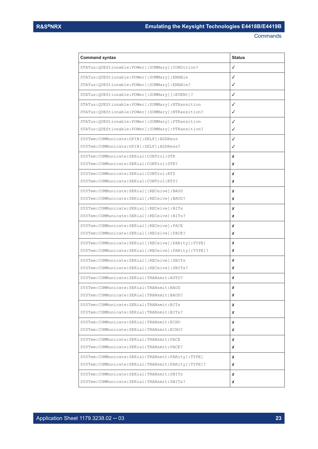| <b>Command syntax</b>                                    | <b>Status</b> |
|----------------------------------------------------------|---------------|
| STATus: QUEStionable: POWer [: SUMMary]: CONDition?      | ✓             |
| STATus: QUEStionable: POWer [: SUMMary]: ENABle          | ✓             |
| STATus:QUEStionable:POWer[:SUMMary]:ENABle?              | ✓             |
| STATus:QUEStionable:POWer[:SUMMary][:EVENt]?             | ✓             |
| STATus:QUEStionable:POWer[:SUMMary]:NTRansition          | ✓             |
| STATus: OUEStionable: POWer [: SUMMary]: NTRansition?    | ✓             |
| STATus: OUEStionable: POWer [: SUMMary]: PTRansition     | ✓             |
| STATus:QUEStionable:POWer[:SUMMary]:PTRansition?         | ✓             |
| SYSTem: COMMunicate: GPIB [: SELF]: ADDRess              | ✓             |
| SYSTem:COMMunicate:GPIB[:SELF]:ADDRess?                  | ✓             |
| SYSTem: COMMunicate: SERial: CONTrol: DTR                | x             |
| SYSTem: COMMunicate: SERial: CONTrol: DTR?               | x             |
| SYSTem: COMMunicate: SERial: CONTrol: RTS                | x             |
| SYSTem: COMMunicate: SERial: CONTrol: RTS?               | x             |
| SYSTem:COMMunicate:SERial[:RECeive]:BAUD                 | x             |
| SYSTem:COMMunicate:SERial[:RECeive]:BAUD?                | x             |
| SYSTem:COMMunicate:SERial[:RECeive]:BITs                 | x             |
| SYSTem:COMMunicate:SERial[:RECeive]:BITs?                | x             |
| SYSTem:COMMunicate:SERial[:RECeive]:PACE                 | x             |
| SYSTem:COMMunicate:SERial[:RECeive]:PACE?                | x             |
| SYSTem: COMMunicate: SERial [: RECeive]: PARity [: TYPE] | x             |
| SYSTem:COMMunicate:SERial[:RECeive]:PARity[:TYPE]?       | x             |
| SYSTem:COMMunicate:SERial[:RECeive]:SBITs                | x             |
| SYSTem: COMMunicate: SERial [: RECeive]: SBITs?          | x             |
| SYSTem: COMMunicate: SERial: TRANsmit: AUTO?             | x             |
| SYSTem: COMMunicate: SERial: TRANsmit: BAUD              | x             |
| SYSTem: COMMunicate: SERial: TRANsmit: BAUD?             | x             |
| SYSTem: COMMunicate: SERial: TRANsmit: BITs              | x             |
| SYSTem: COMMunicate: SERial: TRANsmit: BITs?             | x             |
| SYSTem: COMMunicate: SERial: TRANsmit: ECHO              | x             |
| SYSTem: COMMunicate: SERial: TRANsmit: ECHO?             | x             |
| SYSTem: COMMunicate: SERial: TRANsmit: PACE              | x             |
| SYSTem: COMMunicate: SERial: TRANsmit: PACE?             | x             |
| SYSTem:COMMunicate:SERial:TRANsmit:PARity[:TYPE]         | x             |
| SYSTem: COMMunicate: SERial: TRANsmit: PARity [: TYPE] ? | x             |
| SYSTem: COMMunicate: SERial: TRANsmit: SBITs             | x             |
| SYSTem: COMMunicate: SERial: TRANsmit: SBITs?            | x             |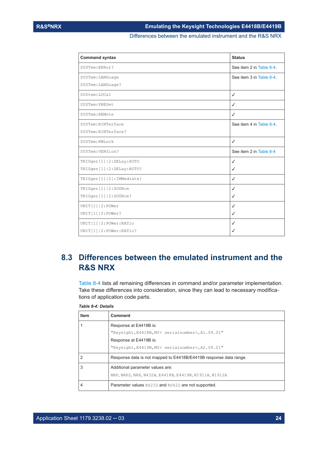#### Differences between the emulated instrument and the R&S NRX

<span id="page-23-0"></span>

| <b>Command syntax</b>      | <b>Status</b>            |
|----------------------------|--------------------------|
| SYSTem: ERRor?             | See item 2 in Table 8-4. |
| SYSTem: LANGuage           | See item 3 in Table 8-4  |
| SYSTem: LANGuage?          |                          |
| SYStem:LOCal               | $\checkmark$             |
| SYSTem: PRESet             | $\checkmark$             |
| SYSTem: REMote             | $\checkmark$             |
| SYSTem: RINTerface         | See item 4 in Table 8-4. |
| SYSTem: RINTerface?        |                          |
| SYSTem: RWLock             | $\checkmark$             |
| SYSTem: VERSion?           | See item 2 in Table 8-4  |
| TRIGger[1] 2:DELay:AUTO    | $\checkmark$             |
| TRIGger[1] 2:DELay:AUTO?   | ✓                        |
| TRIGger[1] 2[:IMMediate]   | $\checkmark$             |
| TRIGger[1]   2: SOURce     | $\checkmark$             |
| TRIGger[1] 2:SOURce?       | $\checkmark$             |
| $UNIT[1]$   $2:$ POWer     | $\checkmark$             |
| UNIT[1]   2: POWer?        | $\checkmark$             |
| UNIT[1]   2: POWer: RATio  | $\checkmark$             |
| UNIT[1]   2: POWer: RATio? | ✓                        |

# **8.3 Differences between the emulated instrument and the R&S NRX**

Table 8-4 lists all remaining differences in command and/or parameter implementation. Take these differences into consideration, since they can lead to necessary modifications of application code parts.

| <b>Item</b> | <b>Comment</b>                                                    |
|-------------|-------------------------------------------------------------------|
|             | Response at E4418B is:                                            |
|             | "Keysight, E4418B, MY< serialnumber>, A1.09.01"                   |
|             | Response at E4419B is:                                            |
|             | "Keysight, E4419B, MY< serialnumber>, A2.09.01"                   |
|             | Response data is not mapped to E4418B/E4419B response data range. |
| 3           | Additional parameter values are:                                  |
|             | NRP, NRP2, NRX, N432A, E4418B, E4419B, N1911A, N1912A             |
| 4           | Parameter values RS232 and RS422 are not supported.               |

#### *Table 8-4: Details*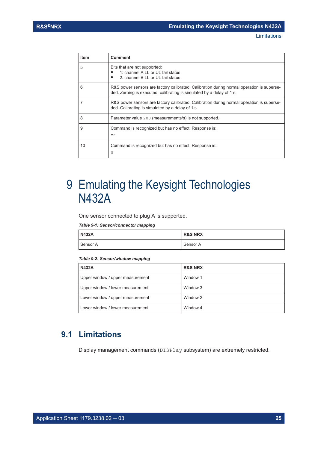<span id="page-24-0"></span>

| <b>Item</b> | Comment                                                                                                                                                            |
|-------------|--------------------------------------------------------------------------------------------------------------------------------------------------------------------|
| 5           | Bits that are not supported:<br>1: channel A LL or UL fail status<br>2: channel B LL or UL fail status                                                             |
| 6           | R&S power sensors are factory calibrated. Calibration during normal operation is superse-<br>ded. Zeroing is executed, calibrating is simulated by a delay of 1 s. |
|             | R&S power sensors are factory calibrated. Calibration during normal operation is superse-<br>ded. Calibrating is simulated by a delay of 1 s.                      |
| 8           | Parameter value 200 (measurements/s) is not supported.                                                                                                             |
| 9           | Command is recognized but has no effect. Response is:<br>11.11                                                                                                     |
| 10          | Command is recognized but has no effect. Response is:<br>0                                                                                                         |

# 9 Emulating the Keysight Technologies N432A

One sensor connected to plug A is supported.

#### *Table 9-1: Sensor/connector mapping*

| <b>N432A</b> | <b>R&amp;S NRX</b> |
|--------------|--------------------|
| Sensor A     | Sensor A           |

#### *Table 9-2: Sensor/window mapping*

| <b>N432A</b>                     | <b>R&amp;S NRX</b> |
|----------------------------------|--------------------|
| Upper window / upper measurement | Window 1           |
| Upper window / lower measurement | Window 3           |
| Lower window / upper measurement | Window 2           |
| Lower window / lower measurement | Window 4           |

## **9.1 Limitations**

Display management commands (DISPlay subsystem) are extremely restricted.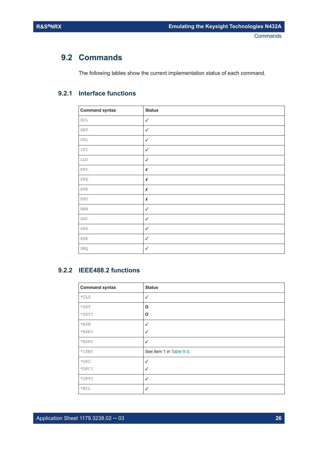## <span id="page-25-0"></span>**9.2 Commands**

The following tables show the current implementation status of each command.

### **9.2.1 Interface functions**

| <b>Command syntax</b>       | <b>Status</b> |
|-----------------------------|---------------|
| $\mathop{\rm DCL}\nolimits$ | $\checkmark$  |
| <b>GET</b>                  | $\checkmark$  |
| GTL                         | $\checkmark$  |
| IFC                         | $\checkmark$  |
| LLO                         | $\checkmark$  |
| PPC                         | $\pmb{\chi}$  |
| PPD                         | $\pmb{\chi}$  |
| PPE                         | $\pmb{\chi}$  |
| PPU                         | $\pmb{\chi}$  |
| $\mathop{\rm REN}\nolimits$ | $\checkmark$  |
| ${\tt SDC}$                 | $\checkmark$  |
| ${\tt SPD}$                 | $\checkmark$  |
| SPE                         | $\checkmark$  |
| SRQ                         | $\checkmark$  |

#### **9.2.2 IEEE488.2 functions**

| <b>Command syntax</b> | <b>Status</b>            |
|-----------------------|--------------------------|
| $\star$ CLS           | $\checkmark$             |
| $*$ DDT               | O                        |
| *DDT?                 | O                        |
| $*$ ESE               | ✓                        |
| $*$ ESE?              | $\checkmark$             |
| $*ESR$ ?              | $\checkmark$             |
| *IDN?                 | See item 1 in Table 9-3. |
| $*$ OPC               | ✓                        |
| $*$ OPC?              | √                        |
| $*$ OPT?              | $\checkmark$             |
| $*$ RCL               | √                        |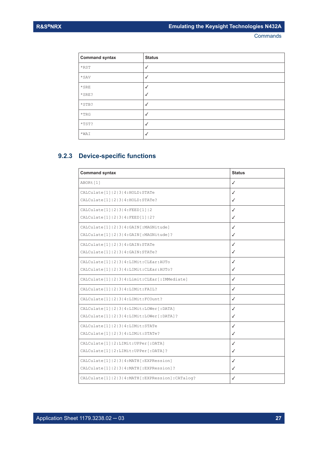<span id="page-26-0"></span>

| <b>Command syntax</b> | <b>Status</b> |
|-----------------------|---------------|
| $*$ RST               | $\checkmark$  |
| $\star$ SAV           | $\checkmark$  |
| $\star$ SRE           | $\checkmark$  |
| *SRE?                 | $\checkmark$  |
| *STB?                 | $\checkmark$  |
| $^\star\mathrm{TRG}$  | $\checkmark$  |
| *TST?                 | $\checkmark$  |
| $*$ WAI               | $\checkmark$  |
|                       |               |

## **9.2.3 Device-specific functions**

| <b>Command syntax</b>                               | <b>Status</b> |
|-----------------------------------------------------|---------------|
| ABORt [1]                                           | $\checkmark$  |
| CALCulate [1]   2   3   4: HOLD: STATe              | ✓             |
| CALCulate [1]   2   3   4: HOLD: STATe?             | ✓             |
| CALCulate [1]   2   3   4 : FEED [1]   2            | ✓             |
| CALCulate [1]   2   3   4: FEED [1]   2?            | ✓             |
| CALCulate [1]   2   3   4 : GAIN [ : MAGNitude]     | ✓             |
| CALCulate [1]   2   3   4 : GAIN [ : MAGNitude ] ?  | ✓             |
| CALCulate [1]   2   3   4 : GAIN: STATe             | ✓             |
| CALCulate [1]   2   3   4: GAIN: STATe?             | ✓             |
| CALCulate [1]   2   3   4: LIMit: CLEar: AUTo       | ✓             |
| CALCulate [1]   2   3   4: LIMit: CLEar: AUTo?      | ✓             |
| CALCulate[1]   2   3   4: Limit: CLEar[: IMMediate] | $\checkmark$  |
| CALCulate [1]   2   3   4: LIMit: FAIL?             | $\checkmark$  |
| CALCulate [1]   2   3   4: LIMit: FCOunt?           | ✓             |
| CALCulate [1]   2   3   4: LIMit: LOWer [: DATA]    | ✓             |
| CALCulate [1]   2   3   4: LIMit: LOWer [: DATA] ?  | ✓             |
| CALCulate [1]   2   3   4: LIMit: STATe             | $\checkmark$  |
| CALCulate [1]   2   3   4: LIMit: STATe?            | ✓             |
| CALCulate [1]   2: LIMit: UPPer [: DATA]            | ✓             |
| CALCulate [1]   2: LIMit: UPPer [: DATA] ?          | ✓             |
| CALCulate [1]   2   3   4: MATH [: EXPRession]      | $\checkmark$  |
| CALCulate [1]   2   3   4: MATH [: EXPRession]?     | ✓             |
| CALCulate[1] 2 3 4:MATH[:EXPRession]:CATaloq?       | ✓             |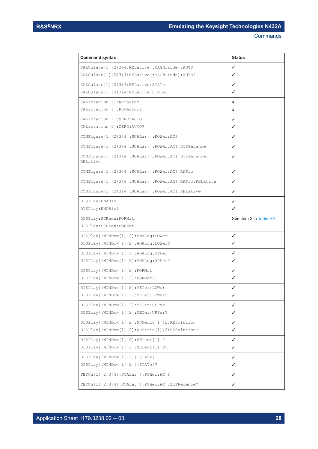| <b>Command syntax</b>                                                       | <b>Status</b>           |
|-----------------------------------------------------------------------------|-------------------------|
| CALCulate [1]   2   3   4: RELative [: MAGNitude]: AUTO                     | ✓                       |
| CALCulate [1]   2   3   4: RELative [: MAGNitude]: AUTO?                    | ✓                       |
| CALCulate [1]   2   3   4: RELative: STATe                                  | ✓                       |
| CALCulate [1]   2   3   4: RELative: STATe?                                 | ✓                       |
| CALibration [1]: RCFactor                                                   | x                       |
| CALibration [1]: RCFactor?                                                  | x                       |
| CALibration [1]: ZERO: AUTO                                                 | ✓                       |
| CALibration [1]: ZERO: AUTO?                                                | ✓                       |
| CONFigure [1]   2   3   4 [: SCALar] [: POWer: AC]                          | ✓                       |
| CONFigure[1]   2   3   4 [: SCALar] [: POWer: AC] : DIFFerence              | ✓                       |
| CONFigure[1]   2   3   4 [: SCALar] [: POWer: AC] : DIFFerence:<br>RELative | ✓                       |
| CONFigure [1]  2 3 4 [:SCALar] [:POWer:AC]:RATio                            | ✓                       |
| CONFigure [1]   2   3   4 [: SCALar] [: POWer: AC]: RATio: RELative         | ✓                       |
| CONFigure[1] 2 3 4[:SCALar][:POWer:AC]:RELative                             | ✓                       |
| DISPlay: ENABle                                                             | ✓                       |
| DISPlay: ENABle?                                                            | ✓                       |
| DISPlay: SCReen: FORMat                                                     | See item 2 in Table 9-3 |
| DISPlay: SCReen: FORMat?                                                    |                         |
| DISPlay[:WINDow[1] 2]:ANALog:LOWer                                          | ✓                       |
| DISPlay[:WINDow[1] 2]:ANALog:LOWer?                                         | ✓                       |
| DISPlay[:WINDow[1] 2]:ANALog:UPPer                                          | ✓                       |
| DISPlay[:WINDow[1] 2]:ANALog:UPPer?                                         | ✓                       |
| DISPlay[:WINDow[1] 2]:FORMat                                                | ✓                       |
| DISPlay [: WINDow [1]   2] : FORMat?                                        | ✓                       |
| DISPlay [: WINDow [1]   2] : METer: LOWer                                   | ✓                       |
| DISPlay[:WINDow[1] 2]:METer:LOWer?                                          | ✓                       |
| DISPlay [: WINDow [1]   2] : METer: UPPer                                   | ✓                       |
| DISPlay[:WINDow[1] 2]:METer:UPPer?                                          | ✓                       |
| DISPlay[:WINDow[1] 2]:NUMeric[1] 2:RESolution                               | ✓                       |
| DISPlay[:WINDow[1] 2]:NUMeric[1] 2:RESolution?                              | ✓                       |
| DISPlay[:WINDow[1] 2]:SELect[1] 2                                           | ✓                       |
| DISPlay[:WINDow[1] 2]:SELect[1] 2?                                          | ✓                       |
| DISPlay [:WINDow [1]   2] [:STATe]                                          | ✓                       |
| DISPlay[:WINDow[1] 2][:STATe]?                                              | ✓                       |
| FETCh[1]   2   3   4 [: SCALar] [: POWer: AC] ?                             | ✓                       |
| FETCh[1]   2   3   4 [: SCALar] [: POWer: AC] : DIFFerence?                 | ✓                       |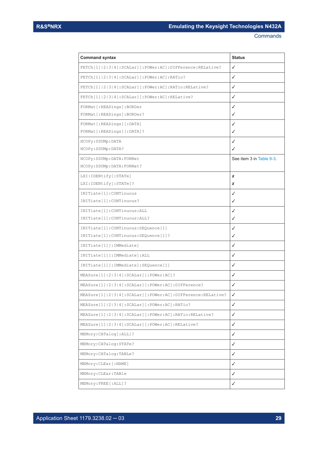| <b>Command syntax</b>                                                   | <b>Status</b>            |
|-------------------------------------------------------------------------|--------------------------|
| FETCh[1]   2   3   4 [: SCALar] [: POWer: AC] : DIFFerence: RELative?   | ✓                        |
| FETCh[1]  2 3 4[:SCALar][:POWer:AC]:RATio?                              | ✓                        |
| FETCh[1] 2 3 4[:SCALar][:POWer:AC]:RATio:RELative?                      | ✓                        |
| FETCh[1] 2 3 4[:SCALar][:POWer:AC]:RELative?                            | ✓                        |
| FORMat[:READings]:BORDer                                                | ✓                        |
| FORMat[:READings]:BORDer?                                               | ✓                        |
| FORMat[:READings][:DATA]                                                | ✓                        |
| FORMat[:READings][:DATA]?                                               | ✓                        |
| HCOPy: SDUMp: DATA                                                      | ✓                        |
| HCOPy: SDUMp: DATA?                                                     | ✓                        |
| HCOPy: SDUMp: DATA: FORMat                                              | See item 3 in Table 9-3. |
| HCOPy: SDUMp: DATA: FORMat?                                             |                          |
| LXI: IDENtify [: STATe]                                                 | x                        |
| LXI: IDENtify [: STATe]?                                                | x                        |
| INITiate[1]: CONTinuous                                                 | ✓                        |
| INITiate[1]: CONTinuous?                                                | ✓                        |
| INITiate[1]: CONTinuous: ALL                                            | ✓                        |
| INITiate[1]: CONTinuous: ALL?                                           | ✓                        |
| INITiate[1]: CONTinuous: SEQuence[1]                                    | ✓                        |
| INITiate[1]: CONTinuous: SEQuence[1]?                                   | ✓                        |
| INITiate[1][:IMMediate]                                                 | ✓                        |
| INITiate[1][:IMMediate]:ALL                                             | ✓                        |
| INITiate[1][:IMMediate]:SEQuence[1]                                     | ✓                        |
| MEASure [1]   2   3   4 [: SCALar] [: POWer: AC] ?                      | ✓                        |
| MEASure[1] 2 3 4[:SCALar][:POWer:AC]:DIFFerence?                        | ✓                        |
| MEASure[1]   2   3   4 [: SCALar] [: POWer: AC] : DIFFerence: RELative? | ✓                        |
| MEASure[1] 2 3 4[:SCALar][:POWer:AC]:RATio?                             | ✓                        |
| MEASure[1] 2 3 4[:SCALar][:POWer:AC]:RATio:RELative?                    | ✓                        |
| MEASure[1]   2   3   4 [: SCALar] [: POWer: AC] : RELative?             | ✓                        |
| MEMory: CATalog[: ALL]?                                                 | ✓                        |
| MEMory: CATalog: STATe?                                                 | ✓                        |
| MEMory: CATalog: TABLe?                                                 | ✓                        |
| MEMory: CLEar [: NAME]                                                  | $\checkmark$             |
| MEMory: CLEar: TABle                                                    | ✓                        |
| MEMory: FREE [: ALL] ?                                                  | ✓                        |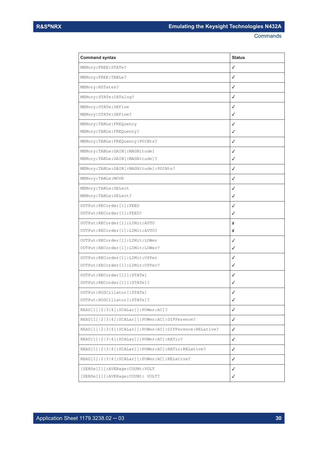| <b>Command syntax</b>                                      | <b>Status</b> |
|------------------------------------------------------------|---------------|
| MEMory: FREE: STATe?                                       | ✓             |
| MEMory: FREE: TABLe?                                       | ✓             |
| MEMory: NSTates?                                           | ✓             |
| MEMory: STATe: CATalog?                                    | ✓             |
| MEMory: STATe: DEFine                                      | ✓             |
| MEMory: STATe: DEFine?                                     | ✓             |
| MEMory: TABLe: FREQuency                                   | ✓             |
| MEMory:TABLe:FREQuency?                                    | ✓             |
| MEMory: TABLe: FREQuency: POINts?                          | ✓             |
| MEMory:TABLe:GAIN[:MAGNitude]                              | ✓             |
| MEMory:TABLe:GAIN[:MAGNitude]?                             | ✓             |
| MEMory: TABLe: GAIN [: MAGNitude]: POINts?                 | ✓             |
| MEMory: TABLe: MOVE                                        | ✓             |
| MEMory: TABLe: SELect                                      | ✓             |
| MEMory: TABLe: SELect?                                     | ✓             |
| OUTPut: RECorder[1]: FEED                                  | ✓             |
| OUTPut: RECorder [1] : FEED?                               | ✓             |
| OUTPut: RECorder [1]: LIMit: AUTO                          | x             |
| OUTPut: RECorder [1]: LIMit: AUTO?                         | x             |
| OUTPut: RECorder [1]: LIMit: LOWer                         | ✓             |
| OUTPut: RECorder [1]: LIMit: LOWer?                        | ✓             |
| OUTPut: RECorder [1]: LIMit: UPPer                         | ✓             |
| OUTPut: RECorder [1]: LIMit: UPPer?                        | ✓             |
| OUTPut: RECorder [1] [: STATe]                             | ✓             |
| OUTPut: RECorder [1] [: STATe] ?                           | ✓             |
| OUTPut: ROSCillator [: STATe]                              | $\checkmark$  |
| OUTPut: ROSCillator [: STATe] ?                            | ✓             |
| READ[1]  2 3 4[:SCALar][:POWer:AC]?                        | ✓             |
| READ[1]   2   3   4 [: SCALar] [: POWer: AC] : DIFFerence? | ✓             |
| READ[1] 2 3 4[:SCALar][:POWer:AC]:DIFFerence:RELative?     | ✓             |
| READ[1] 2 3 4[:SCALar][:POWer:AC]:RATio?                   | ✓             |
| READ[1] 2 3 4[:SCALar][:POWer:AC]:RATio:RELative?          | ✓             |
| READ[1]   2   3   4 [: SCALar] [: POWer: AC] : RELative?   | ✓             |
| [SENSe[1]]:AVERage:COUNt:VOLT                              | ✓             |
| [SENSe[1]]: AVERage: COUNt: VOLT?                          | ✓             |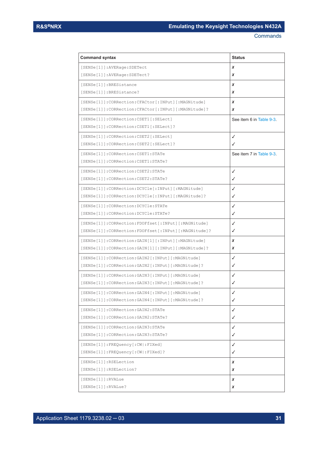| <b>Command syntax</b>                                      | <b>Status</b>            |
|------------------------------------------------------------|--------------------------|
| [SENSe[1]]: AVERage: SDETect                               | x                        |
| [SENSe[1]]: AVERage: SDETect?                              | x                        |
| [SENSe[1]]: BRESistance                                    | x                        |
| [SENSe[1]]: BRESistance?                                   | x                        |
| [SENSe[1]]: CORRection: CFACtor [: INPut] [: MAGNitude]    | x                        |
| [SENSe[1]]: CORRection: CFACtor [: INPut] [: MAGNitude]?   | x                        |
| [SENSe[1]]: CORRection: CSET1[: SELect]                    | See item 6 in Table 9-3. |
| [SENSe[1]]: CORRection: CSET1[: SELect]?                   |                          |
| [SENSe[1]]: CORRection: CSET2[: SELect]                    | ✓                        |
| [SENSe[1]]: CORRection: CSET2[: SELect]?                   | ✓                        |
| [SENSe[1]]: CORRection: CSET1: STATe                       | See item 7 in Table 9-3. |
| [SENSe[1]]: CORRection: CSET1: STATe?                      |                          |
| [SENSe[1]]: CORRection: CSET2: STATe                       | ✓                        |
| [SENSe[1]]: CORRection: CSET2: STATe?                      | ✓                        |
| [SENSe[1]]: CORRection: DCYCle[: INPut][: MAGNitude]       | ✓                        |
| [SENSe[1]]: CORRection: DCYCle[: INPut][: MAGNitude]?      | ✓                        |
| [SENSe[1]]: CORRection: DCYCle: STATe                      | ✓                        |
| [SENSe[1]]: CORRection: DCYCle: STATe?                     | ✓                        |
| [SENSe[1]]: CORRection: FDOFfset [: INPut] [: MAGNitude]   | ✓                        |
| [SENSe[1]]: CORRection: FDOFfset [: INPut] [: MAGNitude]?  | ✓                        |
| [SENSe[1]]: CORRection: GAIN[1][: INPut][: MAGNitude]      | x                        |
| [SENSe[1]]: CORRection: GAIN[1][: INPut][: MAGNitude]?     | x                        |
| [SENSe[1]]: CORRection: GAIN2 [: INPut] [: MAGNitude]      | ✓                        |
| [SENSe[1]]: CORRection: GAIN2 [: INPut] [: MAGNitude]?     | ✓                        |
| [SENSe[1]]: CORRection: GAIN3 [: INPut] [: MAGNitude]      | ✓                        |
| [SENSe[1]]: CORRection: GAIN3 [: INPut] [: MAGNitude]?     | ✓                        |
| [SENSe[1]]:CORRection:GAIN4[:INPut][:MAGNitude]            | ✓                        |
| [SENSe[1]]: CORRection: GAIN4 [: INPut] [: MAGNitude]?     | ✓                        |
| [SENSe[1]]: CORRection: GAIN2: STATe                       | ✓                        |
| [SENSe[1]]: CORRection: GAIN2: STATe?                      | ✓                        |
| [SENSe[1]]: CORRection: GAIN3: STATe                       | ✓                        |
| [SENSe[1]]: CORRection: GAIN3: STATe?                      | ✓                        |
| [SENSe[1]]:FREQuency[:CW :FIXed]                           | ✓                        |
| $[{\tt SENSE[1]}]:{\tt FREQuery[:{\tt CW}]:{\tt FIXed}]$ ? | ✓                        |
| [SENSe[1]]:RSELetion                                       | x                        |
| [SENSe[1]]:RSELetion?                                      | x                        |
| [SENSe[1]]:RVALue                                          | x                        |
| $[$ SENSe $[1]$ $]$ : RVALue?                              | x                        |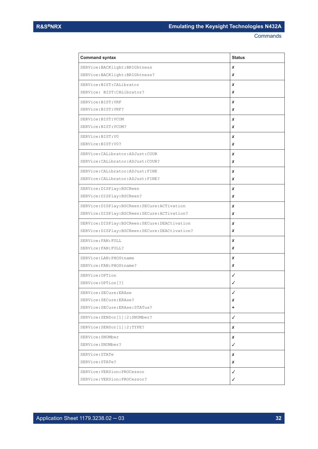| <b>Command syntax</b>                           | <b>Status</b> |
|-------------------------------------------------|---------------|
| SERVice: BACKlight: BRIGhtness                  | x             |
| SERVice: BACKlight: BRIGhtness?                 | x             |
| SERVice:BIST: CALibrator                        | x             |
| SERVice: BIST: CALibrator?                      | x             |
| SERVice: BIST: VRF                              | x             |
| SERVice: BIST: VRF?                             | x             |
| SERVice:BIST:VCOM                               | x             |
| SERVice: BIST: VCOM?                            | x             |
| SERVice: BIST: V0                               | x             |
| SERVice:BIST:V0?                                | x             |
| SERVice: CALibrator: ADJust: COUR               | x             |
| SERVice: CALibrator: ADJust: COUR?              | x             |
| SERVice: CALibrator: ADJust: FINE               | x             |
| SERVice: CALibrator: ADJust: FINE?              | x             |
| SERVice: DISPlay: BSCReen                       | x             |
| SERVice: DISPlay: BSCReen?                      | x             |
| SERVice: DISPlay: BSCReen: SECure: ACTivation   | x             |
| SERVice: DISPlay: BSCReen: SECure: ACTivation?  | x             |
| SERVice: DISPlay: BSCReen: SECure: DEACtivation | x             |
| SERVice:DISPlay:BSCReen:SECure:DEACtivation?    | x             |
| SERVice: FAN: FULL                              | x             |
| SERVice: FAN: FULL?                             | x             |
| SERVice: LAN: PHOStname                         | x             |
| SERVice: FAN: PHOStname?                        | x             |
| SERVice: OPTion                                 | ✓             |
| SERVice: OPTion [?]                             | ✓             |
| SERVice: SECure: ERAse                          | ∕             |
| SERVice: SECure: ERAse?                         | x             |
| SERVice: SECure: ERAse: STATus?                 | ٠             |
| SERVice: SENSor [1]   2: SNUMber?               | ✓             |
| SERVice: SENSor[1] 2:TYPE?                      | x             |
| SERVice: SNUMber                                | x             |
| SERVice: SNUMber?                               | ✓             |
| SERVice: STATe                                  | x             |
| SERVice: STATe?                                 | x             |
| SERVice: VERSion: PROCessor                     | ✓             |
| SERVice: VERSion: PROCessor?                    | ✓             |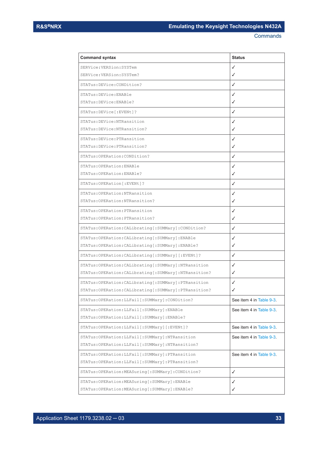| <b>Command syntax</b>                                    | <b>Status</b>            |
|----------------------------------------------------------|--------------------------|
| SERVice: VERSion: SYSTem                                 | ✓                        |
| SERVice: VERSion: SYSTem?                                | ✓                        |
| STATus: DEVice: CONDition?                               | ✓                        |
| STATus: DEVice: ENABle                                   | ✓                        |
| STATus: DEVice: ENABle?                                  | ✓                        |
| STATus: DEVice [: EVENt] ?                               | ✓                        |
| STATus: DEVice: NTRansition                              | ✓                        |
| STATus: DEVice: NTRansition?                             | ✓                        |
| STATus: DEVice: PTRansition                              | ✓                        |
| STATus: DEVice: PTRansition?                             | ✓                        |
| STATus: OPERation: CONDition?                            | ✓                        |
| STATus: OPERation: ENABle                                | ✓                        |
| STATus: OPERation: ENABle?                               | ✓                        |
| STATus: OPERation [: EVENt]?                             | ✓                        |
| STATus: OPERation: NTRansition                           | ✓                        |
| STATus: OPERation: NTRansition?                          | ✓                        |
| STATus: OPERation: PTRansition                           | ✓                        |
| STATus: OPERation: PTRansition?                          | ✓                        |
| STATus: OPERation: CALibrating [: SUMMary]: CONDition?   | ✓                        |
| STATus: OPERation: CALibrating [: SUMMary] : ENABle      | ✓                        |
| STATus: OPERation: CALibrating [: SUMMary]: ENABle?      | ✓                        |
| STATus: OPERation: CALibrating [: SUMMary] [: EVENt] ?   | ✓                        |
| STATus: OPERation: CALibrating [: SUMMary]: NTRansition  | √                        |
| STATus: OPERation: CALibrating [: SUMMary]: NTRansition? | ✓                        |
| STATus: OPERation: CALibrating [: SUMMary]: PTRansition  | ✓                        |
| STATus: OPERation: CALibrating [: SUMMary]: PTRansition? | √                        |
| STATus: OPERation: LLFail [: SUMMary]: CONDition?        | See item 4 in Table 9-3. |
| STATus: OPERation: LLFail [: SUMMary]: ENABle            | See item 4 in Table 9-3. |
| STATus: OPERation: LLFail [: SUMMary]: ENABle?           |                          |
| STATus:OPERation:LLFail[:SUMMary][:EVENt]?               | See item 4 in Table 9-3. |
| STATus: OPERation: LLFail [: SUMMary]: NTRansition       | See item 4 in Table 9-3. |
| STATus: OPERation: LLFail [: SUMMary]: NTRansition?      |                          |
| STATus: OPERation: LLFail [: SUMMary]: PTRansition       | See item 4 in Table 9-3. |
| STATus: OPERation: LLFail [: SUMMary]: PTRansition?      |                          |
| STATus: OPERation: MEASuring [: SUMMary]: CONDition?     | ✓                        |
| STATus: OPERation: MEASuring [: SUMMary]: ENABle         | ✓                        |
| STATus: OPERation: MEASuring [: SUMMary]: ENABle?        | ✓                        |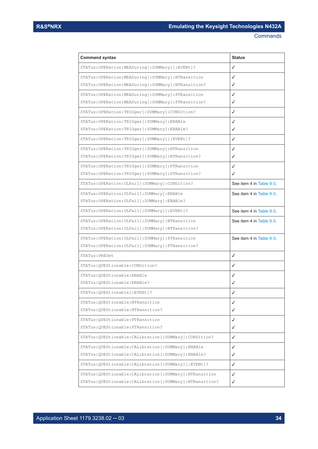| <b>Command syntax</b>                                       | <b>Status</b>            |
|-------------------------------------------------------------|--------------------------|
| STATus: OPERation: MEASuring [: SUMMary] [: EVENt] ?        | ✓                        |
| STATus: OPERation: MEASuring [: SUMMary]: NTRansition       | ✓                        |
| STATus: OPERation: MEASuring [: SUMMary]: NTRansition?      | ✓                        |
| STATus: OPERation: MEASuring [: SUMMary]: PTRansition       | ✓                        |
| STATus: OPERation: MEASuring [: SUMMary]: PTRansition?      | ✓                        |
| STATus: OPERation: TRIGger [: SUMMary]: CONDition?          | ✓                        |
| STATus: OPERation: TRIGger [: SUMMary]: ENABle              | ✓                        |
| STATus: OPERation: TRIGger [: SUMMary]: ENABle?             | ✓                        |
| STATus:OPERation:TRIGger[:SUMMary][:EVENt]?                 | ✓                        |
| STATus: OPERation: TRIGger [: SUMMary]: NTRansition         | ✓                        |
| STATus: OPERation: TRIGger [: SUMMary]: NTRansition?        | ✓                        |
| STATus: OPERation: TRIGger [: SUMMary]: PTRansition         | ✓                        |
| STATus: OPERation: TRIGger [: SUMMary]: PTRansition?        | ✓                        |
| STATus: OPERation: ULFail [: SUMMary]: CONDition?           | See item 4 in Table 9-3. |
| STATus: OPERation: ULFail [: SUMMary]: ENABle               | See item 4 in Table 9-3  |
| STATus: OPERation: ULFail [: SUMMary]: ENABle?              |                          |
| STATus:OPERation:ULFail[:SUMMary][:EVENt]?                  | See item 4 in Table 9-3. |
| STATus: OPERation: ULFail [: SUMMary]: NTRansition          | See item 4 in Table 9-3  |
| STATus: OPERation: ULFail [: SUMMary]: NTRansition?         |                          |
| STATus: OPERation: ULFail [: SUMMary]: PTRansition          | See item 4 in Table 9-3  |
| STATus: OPERation: ULFail [: SUMMary]: PTRansition?         |                          |
| STATus: PRESet                                              | ✓                        |
| STATus: QUEStionable: CONDition?                            | ✓                        |
| STATus: OUEStionable: ENABle                                | ✓                        |
| STATus: QUEStionable: ENABle?                               | ✓                        |
| STATus:QUEStionable[:EVENt]?                                |                          |
| STATus: QUEStionable: NTRansition                           | ✓                        |
| STATus: QUEStionable: NTRansition?                          | ✓                        |
| STATus: OUEStionable: PTRansition                           | ✓                        |
| STATus: QUEStionable: PTRansition?                          | ✓                        |
| STATus:QUEStionable:CALibration[:SUMMary]:CONDition?        | ✓                        |
| STATus: QUEStionable: CALibration [: SUMMary]: ENABle       | ✓                        |
| STATus: QUEStionable: CALibration [: SUMMary]: ENABle?      | ✓                        |
| STATus:QUEStionable:CALibration [:SUMMary] [:EVENt]?        | ✓                        |
| STATus:QUEStionable:CALibration[:SUMMary]:NTRansition       | ✓                        |
| STATus: QUEStionable: CALibration [: SUMMary]: NTRansition? | ✓                        |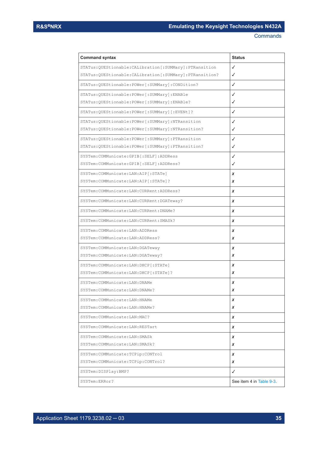| <b>Command syntax</b>                                       | <b>Status</b>            |
|-------------------------------------------------------------|--------------------------|
| STATus:QUEStionable:CALibration[:SUMMary]:PTRansition       | ✓                        |
| STATus: QUEStionable: CALibration [: SUMMary]: PTRansition? | ✓                        |
| STATus: OUEStionable: POWer [: SUMMary]: CONDition?         | ✓                        |
| STATus: QUEStionable: POWer[: SUMMary]: ENABle              | ✓                        |
| STATus:QUEStionable:POWer[:SUMMary]:ENABle?                 | ✓                        |
| STATus: QUEStionable: POWer [: SUMMary] [: EVENt] ?         | ✓                        |
| STATus:QUEStionable:POWer[:SUMMary]:NTRansition             | ✓                        |
| STATus: QUEStionable: POWer [: SUMMary]: NTRansition?       | ✓                        |
| STATus:QUEStionable:POWer[:SUMMary]:PTRansition             | ✓                        |
| STATus: QUEStionable: POWer [: SUMMary]: PTRansition?       | ✓                        |
| SYSTem: COMMunicate: GPIB [: SELF]: ADDRess                 | ✓                        |
| SYSTem: COMMunicate: GPIB [: SELF]: ADDRess?                | ✓                        |
| SYSTem: COMMunicate: LAN: AIP [: STATe]                     | x                        |
| SYSTem: COMMunicate: LAN: AIP [: STATe ] ?                  | x                        |
| SYSTem: COMMunicate: LAN: CURRent: ADDRess?                 | x                        |
| SYSTem: COMMunicate: LAN: CURRent: DGATeway?                | x                        |
| SYSTem: COMMunicate: LAN: CURRent: DNAMe?                   | x                        |
| SYSTem: COMMunicate: LAN: CURRent: SMASk?                   | x                        |
| SYSTem: COMMunicate: LAN: ADDRess                           | x                        |
| SYSTem: COMMunicate: LAN: ADDRess?                          | x                        |
| SYSTem: COMMunicate: LAN: DGATeway                          | x                        |
| SYSTem: COMMunicate: LAN: DGATeway?                         | x                        |
| SYSTem: COMMunicate: LAN: DHCP [: STATe]                    | x                        |
| SYSTem: COMMunicate: LAN: DHCP[:STATe]?                     | x                        |
| SYSTem: COMMunicate: LAN: DNAMe                             | x                        |
| SYSTem: COMMunicate: LAN: DNAMe?                            | x                        |
| SYSTem: COMMunicate: LAN: HNAMe                             | x                        |
| SYSTem: COMMunicate: LAN: HNAMe?                            | x                        |
| SYSTem: COMMunicate: LAN: MAC?                              | x                        |
| SYSTem: COMMunicate: LAN: RESTart                           | x                        |
| SYSTem: COMMunicate: LAN: SMASk                             | x                        |
| SYSTem: COMMunicate: LAN: SMASk?                            | x                        |
| SYSTem: COMMunicate: TCPip: CONTrol                         | x                        |
| SYSTem: COMMunicate: TCPip: CONTrol?                        | x                        |
| SYSTem: DISPlay: BMP?                                       | ✓                        |
| SYSTem:ERRor?                                               | See item 4 in Table 9-3. |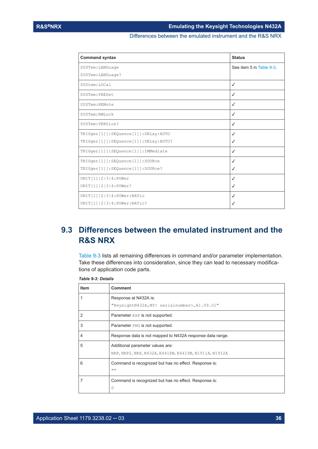Differences between the emulated instrument and the R&S NRX

<span id="page-35-0"></span>

| <b>Command syntax</b>                | <b>Status</b>            |
|--------------------------------------|--------------------------|
| SYSTem: LANGuage                     | See item 5 in Table 9-3. |
| SYSTem: LANGuage?                    |                          |
| SYStem: LOCal                        | ✓                        |
| SYSTem: PRESet                       | $\checkmark$             |
| SYSTem: REMote                       | $\checkmark$             |
| SYSTem: RWLock                       | ✓                        |
| SYSTem: VERSion?                     | $\checkmark$             |
| TRIGger[1][:SEQuence[1]]:DELay:AUTO  | √                        |
| TRIGger[1][:SEQuence[1]]:DELay:AUTO? | ✓                        |
| TRIGger[1][:SEQuence[1]]:IMMediate   | √                        |
| TRIGger[1][:SEQuence[1]]:SOURce      | ✓                        |
| TRIGger[1][:SEQuence[1]]:SOURce?     | ✓                        |
| UNIT[1]   2   3   4 : POWer          | ✓                        |
| UNIT[1]   2   3   4: POWer?          | ✓                        |
| UNIT[1] 2 3 4: POWer: RATio          | √                        |
| UNIT[1] 2 3 4:POWer:RATio?           | ✓                        |

# **9.3 Differences between the emulated instrument and the R&S NRX**

Table 9-3 lists all remaining differences in command and/or parameter implementation. Take these differences into consideration, since they can lead to necessary modifications of application code parts.

| <b>Item</b> | <b>Comment</b>                                            |
|-------------|-----------------------------------------------------------|
|             | Response at N432A is:                                     |
|             | "KeysightN432A, MY< serialnumber>, A1.09.01"              |
| 2           | Parameter EXP is not supported.                           |
| 3           | Parameter PNG is not supported.                           |
| 4           | Response data is not mapped to N432A response data range. |
| 5           | Additional parameter values are:                          |
|             | NRP, NRP2, NRX, N432A, E4418B, E4419B, N1911A, N1912A     |
| 6           | Command is recognized but has no effect. Response is:     |
|             | 1111                                                      |
|             | Command is recognized but has no effect. Response is:     |
|             | 0                                                         |

*Table 9-3: Details*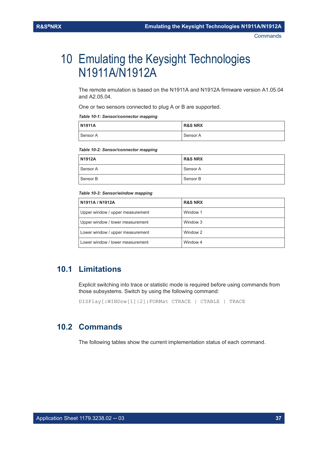# <span id="page-36-0"></span>10 Emulating the Keysight Technologies N1911A/N1912A

The remote emulation is based on the N1911A and N1912A firmware version A1.05.04 and A2.05.04.

One or two sensors connected to plug A or B are supported.

*Table 10-1: Sensor/connector mapping*

| N1911A   | <b>R&amp;S NRX</b> |
|----------|--------------------|
| Sensor A | Sensor A           |

#### *Table 10-2: Sensor/connector mapping*

| N1912A   | <b>R&amp;S NRX</b> |
|----------|--------------------|
| Sensor A | Sensor A           |
| Sensor B | Sensor B           |

#### *Table 10-3: Sensor/window mapping*

| N1911A / N1912A                  | <b>R&amp;S NRX</b> |
|----------------------------------|--------------------|
| Upper window / upper measurement | Window 1           |
| Upper window / lower measurement | Window 3           |
| Lower window / upper measurement | Window 2           |
| Lower window / lower measurement | Window 4           |

## **10.1 Limitations**

Explicit switching into trace or statistic mode is required before using commands from those subsystems. Switch by using the following command:

DISPlay[:WINDow[1]|2]:FORMat CTRACE | CTABLE | TRACE

## **10.2 Commands**

The following tables show the current implementation status of each command.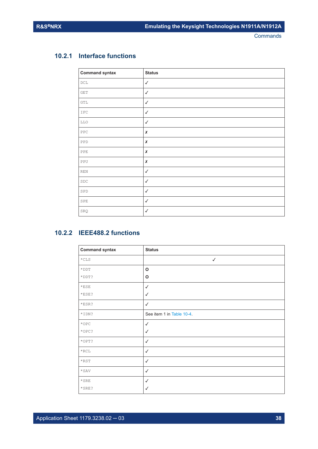#### <span id="page-37-0"></span>**10.2.1 Interface functions**

| <b>Command syntax</b>       | <b>Status</b> |
|-----------------------------|---------------|
| $_{\rm DCL}$                | $\checkmark$  |
| $\mathop{\mathtt{GET}}$     | $\checkmark$  |
| $\operatorname{GTL}$        | $\checkmark$  |
| $_{\tt IFC}$                | $\checkmark$  |
| LLO                         | $\checkmark$  |
| ${\tt PPC}$                 | $\pmb{\chi}$  |
| PPD                         | $\pmb{\chi}$  |
| PPE                         | $\pmb{\chi}$  |
| ${\tt PPU}$                 | $\pmb{\chi}$  |
| $\mathop{\rm REN}\nolimits$ | $\checkmark$  |
| $_{\rm SDC}$                | $\checkmark$  |
| ${\tt SPD}$                 | $\checkmark$  |
| ${\tt SPE}$                 | $\checkmark$  |
| SRQ                         | $\checkmark$  |

## **10.2.2 IEEE488.2 functions**

| <b>Command syntax</b> | <b>Status</b>             |
|-----------------------|---------------------------|
| $*$ CLS               | $\checkmark$              |
| $\star$ DDT           | O                         |
| *DDT?                 | O                         |
| $*$ ESE               | $\checkmark$              |
| $*$ ESE?              | $\checkmark$              |
| *ESR?                 | $\checkmark$              |
| *IDN?                 | See item 1 in Table 10-4. |
| $*$ OPC               | $\checkmark$              |
| $*$ OPC?              | $\checkmark$              |
| *OPT?                 | $\checkmark$              |
| $\star$ RCL           | $\checkmark$              |
| $*$ RST               | $\checkmark$              |
| $*$ SAV               | $\checkmark$              |
| $\star$ SRE           | $\checkmark$              |
| $\star$ SRE?          | √                         |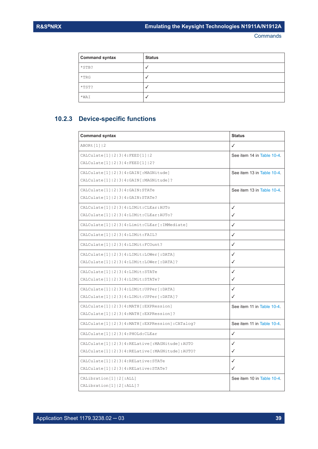<span id="page-38-0"></span>

| <b>Command syntax</b> | <b>Status</b> |
|-----------------------|---------------|
| $*$ STB?              |               |
| $*TRG$                |               |
| $*$ TST?              |               |
| *WAI                  |               |

## **10.2.3 Device-specific functions**

| <b>Command syntax</b>                                     | <b>Status</b>              |
|-----------------------------------------------------------|----------------------------|
| ABORt [1]   2                                             | ✓                          |
| CALCulate [1]   2   3   4 : FEED [1]   2                  | See item 14 in Table 10-4. |
| CALCulate[1]  2 3 4: FEED[1]  2?                          |                            |
| CALCulate [1]   2   3   4: GAIN [: MAGNitude]             | See item 13 in Table 10-4. |
| CALCulate [1]   2   3   4: GAIN [: MAGNitude]?            |                            |
| CALCulate [1]   2   3   4: GAIN: STATe                    | See item 13 in Table 10-4. |
| CALCulate [1]   2   3   4: GAIN: STATe?                   |                            |
| CALCulate [1]   2   3   4: LIMit: CLEar: AUTo             | ✓                          |
| CALCulate [1]   2   3   4: LIMit: CLEar: AUTo?            | ✓                          |
| CALCulate [1]   2   3   4: Limit: CLEar [: IMMediate]     | ✓                          |
| CALCulate [1]   2   3   4 : LIMit: FAIL?                  | ✓                          |
| CALCulate [1]   2   3   4: LIMit: FCOunt?                 | ✓                          |
| CALCulate [1]   2   3   4: LIMit: LOWer [ : DATA]         | ✓                          |
| CALCulate [1]   2   3   4: LIMit: LOWer [: DATA] ?        | ✓                          |
| CALCulate [1]   2   3   4 : LIMit: STATe                  | ✓                          |
| CALCulate [1]   2   3   4: LIMit: STATe?                  | ℐ                          |
| CALCulate [1]   2   3   4: LIMit: UPPer [: DATA]          | ✓                          |
| CALCulate [1]   2   3   4: LIMit: UPPer [: DATA] ?        | ✓                          |
| CALCulate [1]   2   3   4: MATH [: EXPRession]            | See item 11 in Table 10-4. |
| CALCulate [1]   2   3   4: MATH [: EXPRession]?           |                            |
| CALCulate [1]   2   3   4: MATH [: EXPRession] : CATalog? | See item 11 in Table 10-4. |
| CALCulate [1]   2   3   4: PHOLd: CLEar                   | ✓                          |
| CALCulate[1]   2   3   4: RELative [: MAGNitude] : AUTO   | ℐ                          |
| CALCulate [1]   2   3   4: RELative [: MAGNitude]: AUTO?  | ✓                          |
| CALCulate [1]   2   3   4: RELative: STATe                | ✓                          |
| CALCulate [1]   2   3   4: RELative: STATe?               | ✓                          |
| CALibration [1]   2 [: ALL]                               | See item 10 in Table 10-4. |
| CALibration [1]   2 [: ALL] ?                             |                            |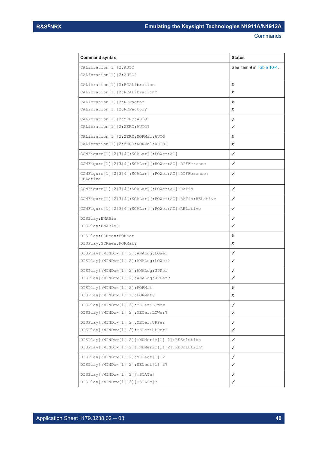| <b>Command syntax</b>                                                        | <b>Status</b>            |
|------------------------------------------------------------------------------|--------------------------|
| CALibration [1]   2: AUTO                                                    | See item 9 in Table 10-4 |
| CALibration [1]   2: AUTO?                                                   |                          |
| CALibration [1]   2: RCALibration                                            | x                        |
| CALibration [1]   2: RCALibration?                                           | x                        |
| CALibration [1]   2: RCFactor                                                | x                        |
| CALibration [1]   2: RCFactor?                                               | x                        |
| CALibration [1]   2: ZERO: AUTO                                              | ✓                        |
| CALibration [1]   2: ZERO: AUTO?                                             | ✓                        |
| CALibration [1]   2: ZERO: NORMal: AUTO                                      | x                        |
| CALibration [1]   2: ZERO: NORMal: AUTO?                                     | x                        |
| CONFigure [1]   2   3   4 [: SCALar] [: POWer: AC]                           | ✓                        |
| CONFigure [1]   2   3   4 [: SCALar] [: POWer: AC] : DIFFerence              | ✓                        |
| CONFigure [1]   2   3   4 [: SCALar] [: POWer: AC] : DIFFerence:<br>RELative | ✓                        |
| CONFigure [1]  2 3 4 [:SCALar] [:POWer:AC]:RATio                             | ✓                        |
| CONFigure[1]   2   3   4 [: SCALar] [: POWer: AC] : RATio: RELative          | ✓                        |
| CONFigure [1]   2   3   4 [: SCALar] [: POWer: AC] : RELative                | ✓                        |
| DISPlay: ENABle                                                              | ✓                        |
| DISPlay:ENABle?                                                              | ✓                        |
| DISPlay: SCReen: FORMat                                                      | x                        |
| DISPlay: SCReen: FORMat?                                                     | x                        |
| DISPlay[:WINDow[1] 2]:ANALog:LOWer                                           | ✓                        |
| DISPlay[:WINDow[1] 2]:ANALog:LOWer?                                          | ✓                        |
| DISPlay[:WINDow[1] 2]:ANALog:UPPer                                           | ✓                        |
| DISPlay[:WINDow[1] 2]:ANALog:UPPer?                                          | ✓                        |
| DISPlay [: WINDow [1]   2] : FORMat                                          | x                        |
| DISPlay [:WINDow [1]   2] : FORMat?                                          | x                        |
| DISPlay [: WINDow [1]   2] : METer: LOWer                                    | ✓                        |
| DISPlay[:WINDow[1] 2]:METer:LOWer?                                           | ✓                        |
| DISPlay[:WINDow[1] 2]:METer:UPPer                                            | ✓                        |
| DISPlay[:WINDow[1] 2]:METer:UPPer?                                           | ✓                        |
| DISPlay[:WINDow[1] 2][:NUMeric[1] 2]:RESolution                              | ✓                        |
| DISPlay[:WINDow[1] 2][:NUMeric[1] 2]:RESolution?                             | ✓                        |
| DISPlay[:WINDow[1] 2]:SELect[1] 2                                            | ✓                        |
| DISPlay[:WINDow[1] 2]:SELect[1] 2?                                           | ✓                        |
| DISPlay[:WINDow[1] 2][:STATe]                                                | ✓                        |
| DISPlay[:WINDow[1] 2][:STATe]?                                               | ✓                        |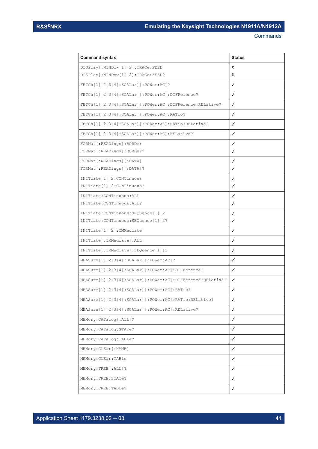| <b>Command syntax</b>                                                   | <b>Status</b> |
|-------------------------------------------------------------------------|---------------|
| DISPlay[:WINDow[1] 2]:TRACe:FEED                                        | x             |
| DISPlay [: WINDow [1]   2] : TRACe: FEED?                               | x             |
| $\texttt{FFCh[1]}  2 3 4$ [: SCALar] [: POWer: AC] ?                    | ✓             |
| FETCh[1]   2   3   4 [: SCALar] [: POWer: AC] : DIFFerence?             | ✓             |
| FETCh[1] 2 3 4[:SCALar][:POWer:AC]:DIFFerence:RELative?                 | ✓             |
| $\texttt{FFCh[1] 2 3 4[:SCALar][:POWer:AC]:RATIO?}$                     | ✓             |
| FETCh[1] 2 3 4[:SCALar][:POWer:AC]:RATio:RELative?                      | ✓             |
| FETCh[1]   2   3   4 [: SCALar] [: POWer: AC] : RELative?               | ✓             |
| FORMat[:READings]:BORDer                                                | ✓             |
| FORMat[:READings]:BORDer?                                               | ✓             |
| FORMat[:READings][:DATA]                                                | ✓             |
| FORMat[:READings][:DATA]?                                               | ✓             |
| INITiate[1]   2: CONTinuous                                             | ✓             |
| INITiate[1]   2: CONTinuous?                                            | ✓             |
| INITiate: CONTinuous: ALL                                               | ✓             |
| INITiate: CONTinuous: ALL?                                              | ✓             |
| INITiate: CONTinuous: SEQuence [1]   2                                  | ✓             |
| INITiate: CONTinuous: SEQuence [1]   2?                                 | ✓             |
| INITiate[1] 2[:IMMediate]                                               | ✓             |
| INITiate [: IMMediate]: ALL                                             | ✓             |
| INITiate[:IMMediate]:SEQuence[1] 2                                      | ✓             |
| MEASure[1] 2 3 4[:SCALar][:POWer:AC]?                                   | ✓             |
| MEASure[1] 2 3 4[:SCALar][:POWer:AC]:DIFFerence?                        | ✓             |
| MEASure[1]   2   3   4 [: SCALar] [: POWer: AC] : DIFFerence: RELative? | ✓             |
| MEASure[1]  2 3 4[:SCALar][:POWer:AC]:RATio?                            | ✓             |
| MEASure[1] 2 3 4[:SCALar][:POWer:AC]:RATio:RELative?                    | ✓             |
| MEASure[1]   2   3   4 [: SCALar] [: POWer: AC] : RELative?             | ✓             |
| MEMory: CATalog[: ALL]?                                                 | ✓             |
| MEMory: CATalog: STATe?                                                 | ✓             |
| MEMory: CATalog: TABLe?                                                 | ✓             |
| MEMory: CLEar [: NAME]                                                  | ✓             |
| MEMory: CLEar: TABle                                                    | ✓             |
| MEMory: FREE [: ALL] ?                                                  | ✓             |
| MEMory: FREE: STATe?                                                    | ✓             |
| MEMory: FREE: TABLe?                                                    | ✓             |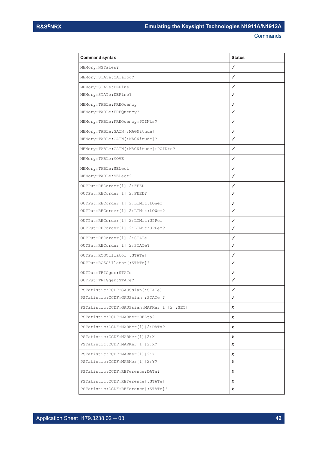| <b>Command syntax</b>                         | <b>Status</b> |
|-----------------------------------------------|---------------|
| MEMory: NSTates?                              | ✓             |
| MEMory: STATe: CATalog?                       | ✓             |
| MEMory: STATe: DEFine                         | ✓             |
| MEMory: STATe: DEFine?                        | ✓             |
| MEMory: TABLe: FREQuency                      | ✓             |
| MEMory: TABLe: FREQuency?                     | ✓             |
| MEMory: TABLe: FREQuency: POINts?             | ✓             |
| MEMory:TABLe:GAIN[:MAGNitude]                 | ✓             |
| MEMory:TABLe:GAIN[:MAGNitude]?                | ✓             |
| MEMory:TABLe:GAIN[:MAGNitude]:POINts?         | ✓             |
| MEMory: TABLe: MOVE                           | ✓             |
| MEMory: TABLe: SELect                         | ✓             |
| MEMory: TABLe: SELect?                        | ✓             |
| OUTPut: RECorder [1]   2: FEED                | ✓             |
| OUTPut: RECorder [1]   2: FEED?               | ✓             |
| OUTPut: RECorder [1]   2: LIMit: LOWer        | ✓             |
| OUTPut: RECorder [1]   2: LIMit: LOWer?       | ✓             |
| OUTPut: RECorder [1]   2: LIMit: UPPer        | ✓             |
| OUTPut: RECorder [1]   2: LIMit: UPPer?       | ✓             |
| OUTPut: RECorder [1]   2: STATe               | ✓             |
| OUTPut: RECorder [1]   2: STATe?              | ✓             |
| OUTPut: ROSCillator [: STATe]                 | ✓             |
| OUTPut: ROSCillator [: STATe] ?               | ✓             |
| OUTPut:TRIGger:STATe                          | ✓             |
| OUTPut:TRIGger:STATe?                         | ✓             |
| PSTatistic: CCDF: GAUSsian [: STATe]          | ✓             |
| PSTatistic: CCDF: GAUSsian [: STATe]?         | ✓             |
| PSTatistic: CCDF: GAUSsian: MARKer[1] 2[:SET] | x             |
| PSTatistic: CCDF: MARKer: DELta?              | x             |
| PSTatistic: CCDF: MARKer[1]   2: DATa?        | x             |
| PSTatistic: CCDF: MARKer[1]   2: X            | x             |
| PSTatistic: CCDF: MARKer[1]   2:X?            | x             |
| PSTatistic: CCDF: MARKer[1]   2: Y            | x             |
| PSTatistic: CCDF: MARKer[1]   2: Y?           | x             |
| PSTatistic: CCDF: REFerence: DATa?            | x             |
| PSTatistic: CCDF: REFerence [: STATe]         | x             |
| PSTatistic: CCDF: REFerence [: STATe] ?       | x             |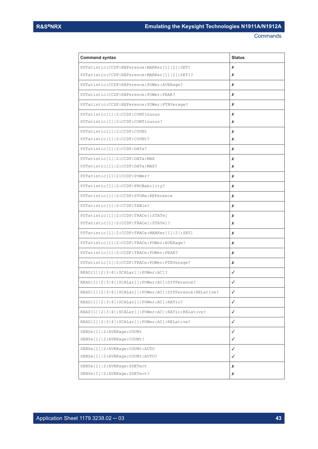| <b>Command syntax</b>                                        | <b>Status</b> |
|--------------------------------------------------------------|---------------|
| PSTatistic: CCDF: REFerence: MARKer[1] 2[:SET]               | x             |
| PSTatistic: CCDF: REFerence: MARKer[1]   2 [: SET] ?         | x             |
| PSTatistic: CCDF: REFerence: POWer: AVERage?                 | x             |
| PSTatistic: CCDF: REFerence: POWer: PEAK?                    | x             |
| PSTatistic:CCDF:REFerence:POWer:PTAVerage?                   | x             |
| PSTatistic[1]   2: CCDF: CONTinuous                          | x             |
| PSTatistic[1]   2: CCDF: CONTinuous?                         | x             |
| PSTatistic[1]   2: CCDF: COUNt                               | x             |
| PSTatistic[1] 2:CCDF:COUNt?                                  | x             |
| PSTatistic[1]   2: CCDF: DATa?                               | x             |
| PSTatistic[1]   2: CCDF: DATa: MAX                           | x             |
| PSTatistic[1]   2: CCDF: DATa: MAX?                          | x             |
| PSTatistic[1] 2:CCDF:POWer?                                  | x             |
| PSTatistic[1] 2:CCDF:PROBability?                            | x             |
| PSTatistic[1]   2: CCDF: STORe: REFerence                    | x             |
| PSTatistic[1]   2: CCDF: TABle?                              | x             |
| PSTatistic[1]   2: CCDF: TRACe [: STATe]                     | x             |
| PSTatistic[1]   2: CCDF: TRACe [: STATe]?                    | x             |
| PSTatistic[1]   2: CCDF: TRACe: MARKer[1]   2 [: SET]        | x             |
| PSTatistic[1]   2: CCDF: TRACe: POWer: AVERage?              | x             |
| PSTatistic[1]   2: CCDF: TRACe: POWer: PEAK?                 | x             |
| PSTatistic [1]   2: CCDF: TRACe: POWer: PTAVerage?           | x             |
| READ[1]  2 3 4[:SCALar][:POWer:AC]?                          | ✓             |
| READ[1]   2   3   4 [ : SCALar] [ : POWer: AC] : DIFFerence? | ✓             |
| READ[1] 2 3 4[:SCALar][:POWer:AC]:DIFFerence:RELative?       | ✓             |
| READ[1]  2 3 4[:SCALar][:POWer:AC]:RATio?                    | ✓             |
| READ[1] 2 3 4[:SCALar][:POWer:AC]:RATio:RELative?            | ✓             |
| READ[1]   2   3   4 [: SCALar] [: POWer: AC] : RELative?     | ✓             |
| SENSe[1]   2: AVERage: COUNt                                 | ✓             |
| SENSe[1]   2: AVERage: COUNt?                                | ✓             |
| SENSe[1]   2: AVERage: COUNt: AUTO                           | ✓             |
| SENSe[1]   2: AVERage: COUNt: AUTO?                          | ✓             |
| SENSe[1]   2: AVERage: SDETect                               | x             |
| SENSe[1]   2: AVERage: SDETect?                              | x             |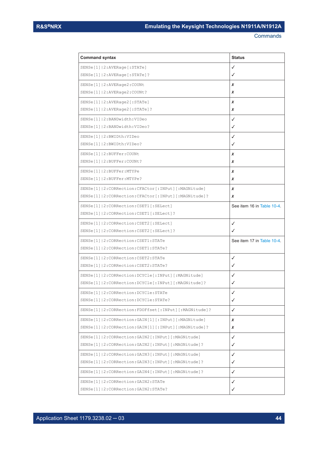| <b>Command syntax</b>                                        | <b>Status</b>              |
|--------------------------------------------------------------|----------------------------|
| SENSe[1]   2: AVERage [: STATe]                              | ✓                          |
| SENSE[1]   2:AVERange[:STATE]:                               | ✓                          |
| SENSe[1]   2: AVERage2: COUNt                                | x                          |
| SENSe[1]   2: AVERage 2: COUNt?                              | X                          |
| SENSE[1]   2:AVERange2[:STATE]                               | x                          |
| SENSe[1]   2: AVERage 2 [: STATe] ?                          | x                          |
| SENSe[1]   2: BANDwidth: VIDeo                               | ✓                          |
| SENSe[1]   2: BANDwidth: VIDeo?                              | ✓                          |
| SENSe[1]   2: BWIDth: VIDeo                                  | ✓                          |
| SENSe[1]   2: BWIDth: VIDeo?                                 | ✓                          |
| SENSe[1]   2: BUFFer: COUNt                                  | x                          |
| SENSe[1]   2: BUFFer: COUNt?                                 | x                          |
| SENSe[1]   2: BUFFer: MTYPe                                  | x                          |
| SENSe[1]   2: BUFFer: MTYPe?                                 | x                          |
| SENSe[1]   2: CORRection: CFACtor [: INPut] [: MAGNitude]    | x                          |
| SENSe[1]   2: CORRection: CFACtor [: INPut] [: MAGNitude]?   | x                          |
| SENSe[1]   2: CORRection: CSET1 [: SELect]                   | See item 16 in Table 10-4. |
| SENSe[1]   2: CORRection: CSET1 [: SELect] ?                 |                            |
| SENSe[1]   2: CORRection: CSET2 [: SELect]                   | ✓                          |
| SENSe[1]   2: CORRection: CSET2 [: SELect] ?                 | ✓                          |
| SENSe[1]   2: CORRection: CSET1: STATe                       | See item 17 in Table 10-4. |
| SENSe[1]   2: CORRection: CSET1: STATe?                      |                            |
| SENSe[1]   2: CORRection: CSET2: STATe                       | ✓                          |
| SENSe[1]   2: CORRection: CSET2: STATe?                      | ✓                          |
| SENSe[1]   2: CORRection: DCYCle[: INPut] [: MAGNitude]      | ✓                          |
| SENSe[1]   2: CORRection: DCYCle[: INPut] [: MAGNitude]?     | ✓                          |
| SENSe[1]   2: CORRection: DCYCle: STATe                      |                            |
| SENSe[1]   2: CORRection: DCYCle: STATe?                     | ✓                          |
| SENSe[1] 2:CORRection:FDOFfset[:INPut][:MAGNitude]?          | ✓                          |
| SENSe[1]   2: CORRection: GAIN [1] [: INPut] [: MAGNitude]   | X                          |
| SENSe[1]   2: CORRection: GAIN [1] [: INPut] [: MAGNitude] ? | X                          |
| SENSe[1]   2: CORRection: GAIN2 [: INPut] [: MAGNitude]      | ✓                          |
| SENSe[1]   2: CORRection: GAIN2 [: INPut] [: MAGNitude] ?    | ✓                          |
| SENSe[1]   2: CORRection: GAIN3 [: INPut] [: MAGNitude]      | ✓                          |
| SENSe[1]   2: CORRection: GAIN3 [: INPut] [: MAGNitude] ?    | ✓                          |
| SENSe[1]   2: CORRection: GAIN4 [: INPut] [: MAGNitude]?     | ✓                          |
| SENSe[1]   2: CORRection: GAIN2: STATe                       | ✓                          |
| SENSe[1]   2: CORRection: GAIN2: STATe?                      | ✓                          |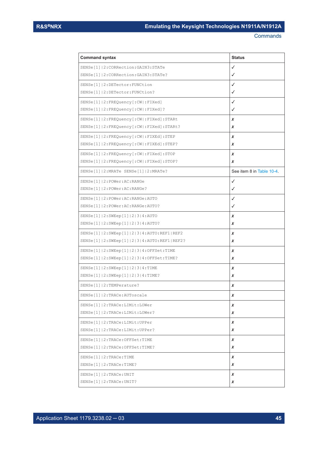| <b>Command syntax</b>                                  | <b>Status</b>             |
|--------------------------------------------------------|---------------------------|
| SENSe[1]   2: CORRection: GAIN3: STATe                 | ✓                         |
| SENSe[1]   2: CORRection: GAIN3: STATe?                | ✓                         |
| SENSe[1]   2: DETector: FUNCtion                       | ✓                         |
| SENSe[1]   2: DETector: FUNCtion?                      | ✓                         |
| SENSe[1]   2: FREQuency [: CW   : FIXed]               | $\checkmark$              |
| SENSe[1]   2: FREQuency [: CW   : FIXed] ?             | √                         |
| SENSe[1]   2: FREQuency [: CW   : FIXed] : STARt       | x                         |
| SENSe[1]   2: FREQuency [: CW   : FIXed] : STARt?      | X                         |
| SENSe[1]   2: FREQuency [: CW   : FIXEd] : STEP        | x                         |
| SENSe[1]   2: FREQuency [: CW   : FIXEd] : STEP?       | x                         |
| SENSe[1]   2: FREQuency [: CW   : FIXed] : STOP        | x                         |
| SENSe[1]   2: FREQuency [: CW   : FIXed] : STOP?       | x                         |
| SENSe[1]   2: MRATe SENSe[1]   2: MRATe?               | See item 8 in Table 10-4. |
| SENSe[1]   2: POWer: AC: RANGe                         | ✓                         |
| SENSe[1]   2: POWer: AC: RANGe?                        | ✓                         |
| SENSe[1]   2: POWer: AC: RANGe: AUTO                   | ✓                         |
| SENSe[1]   2: POWer: AC: RANGe: AUTO?                  | ✓                         |
| SENSe[1]   2: SWEep[1]   2   3   4: AUTO               | x                         |
| SENSe[1]   2: SWEep[1]   2   3   4: AUTO?              | x                         |
| SENSe[1]   2: SWEep[1]   2   3   4: AUTO: REF1   REF2  | X                         |
| SENSe[1]   2: SWEep[1]   2   3   4: AUTO: REF1   REF2? | x                         |
| SENSe[1]   2: SWEep[1]   2   3   4: OFFSet: TIME       | x                         |
| SENSe[1]   2: SWEep[1]   2   3   4: OFFSet: TIME?      | x                         |
| SENSe[1]   2: SWEep[1]   2   3   4: TIME               | x                         |
| SENSe[1]   2: SWEep[1]   2   3   4: TIME?              | x                         |
| SENSe[1]   2: TEMPerature?                             | x                         |
| SENSe[1]   2: TRACe: AUToscale                         | x                         |
| SENSe[1]   2: TRACe: LIMit: LOWer                      | x                         |
| SENSe[1]   2: TRACe: LIMit: LOWer?                     | x                         |
| SENSe[1]   2: TRACe: LIMit: UPPer                      | X                         |
| SENSe[1]   2: TRACe: LIMit: UPPer?                     | x                         |
| SENSe[1]   2: TRACe: OFFSet: TIME                      | x                         |
| SENSe[1]   2: TRACe: OFFSet: TIME?                     | x                         |
| SENSe[1]   2: TRACe: TIME                              | x                         |
| SENSe[1]   2: TRACe: TIME?                             | x                         |
| SENSe[1]   2:TRACE:UNIT                                | x                         |
| SENSe[1]   2: TRACe: UNIT?                             | x                         |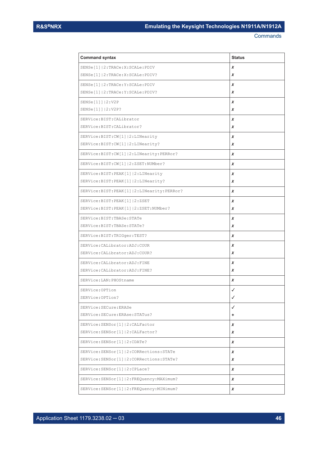| <b>Command syntax</b>                        | <b>Status</b> |
|----------------------------------------------|---------------|
| SENSe[1]   2: TRACe: X: SCALe: PDIV          | x             |
| SENSe[1]   2: TRACe: X: SCALe: PDIV?         | x             |
| SENSe[1]   2: TRACe: Y: SCALe: PDIV          | x             |
| SENSe[1]   2: TRACe: Y: SCALe: PDIV?         | x             |
| SENSe[1]]   2: V2P                           | x             |
| SENSe[1]]   2: V2P?                          | x             |
| SERVice: BIST: CALibrator                    | x             |
| SERVice: BIST: CALibrator?                   | x             |
| SERVice: BIST: CW[1]   2: LINearity          | x             |
| SERVice:BIST:CW[1] 2:LINearity?              | x             |
| SERVice:BIST:CW[1] 2:LINearity:PERRor?       | x             |
| SERVice:BIST:CW[1] 2:ZSET:NUMber?            | x             |
| SERVice: BIST: PEAK[1] 2: LINearity          | x             |
| SERVice: BIST: PEAK[1] 2: LINearity?         | x             |
| SERVice: BIST: PEAK[1] 2: LINearity: PERRor? | x             |
| SERVice: BIST: PEAK[1] 2:ZSET                | x             |
| SERVice:BIST:PEAK[1] 2:ZSET:NUMber?          | x             |
| SERVice:BIST:TBASe:STATe                     | x             |
| SERVice: BIST: TBASe: STATe?                 | x             |
| SERVice:BIST:TRIGger:TEST?                   | x             |
| SERVice: CALibrator: ADJ: COUR               | x             |
| SERVice: CALibrator: ADJ: COUR?              | x             |
| SERVice: CALibrator: ADJ: FINE               | x             |
| SERVice: CALibrator: ADJ: FINE?              | x             |
| SERVice: LAN: PHOStname                      | x             |
| SERVice: OPTion                              | J             |
| SERVice: OPTion?                             | ✓             |
| SERVice: SECure: ERASe                       | ✓             |
| SERVice: SECure: ERAse: STATus?              | ٠             |
| SERVice: SENSor [1]   2: CALFactor           | x             |
| SERVice: SENSor[1]   2: CALFactor?           | x             |
| SERVice: SENSor[1]   2: CDATe?               | x             |
| SERVice: SENSor [1]   2: CORRections: STATe  | x             |
| SERVice: SENSor[1]   2: CORRections: STATe?  | x             |
| SERVice: SENSor[1]   2: CPLace?              | x             |
| SERVice: SENSor [1]   2: FREQuency: MAXimum? | x             |
| SERVice: SENSor [1]   2: FREQuency: MINimum? | x             |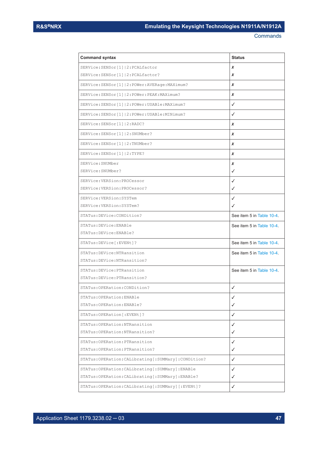| <b>Command syntax</b>                                  | <b>Status</b>             |
|--------------------------------------------------------|---------------------------|
| SERVice: SENSor[1]   2: PCALfactor                     | x                         |
| SERVice: SENSor[1]   2: PCALfactor?                    | x                         |
| SERVice: SENSor [1]   2: POWer: AVERage: MAXimum?      | x                         |
| SERVice: SENSor [1]   2: POWer: PEAK: MAXimum?         | x                         |
| SERVice: SENSor [1]   2: POWer: USABle: MAXimum?       | ✓                         |
| SERVice: SENSor [1]   2: POWer: USABle: MINimum?       | ✓                         |
| SERVice: SENSor [1]   2: RADC?                         | X                         |
| SERVice: SENSor[1]   2: SNUMber?                       | x                         |
| SERVice:SENSor[1] 2:TNUMber?                           | x                         |
| SERVice: SENSor [1]   2: TYPE?                         | x                         |
| SERVice: SNUMber                                       | x                         |
| SERVice: SNUMber?                                      | ✓                         |
| SERVice: VERSion: PROCessor                            | ✓                         |
| SERVice: VERSion: PROCessor?                           | ✓                         |
| SERVice: VERSion: SYSTem                               | ✓                         |
| SERVice: VERSion: SYSTem?                              | ✓                         |
| STATus: DEVice: CONDition?                             | See item 5 in Table 10-4. |
| STATus: DEVice: ENABle                                 | See item 5 in Table 10-4. |
| STATus: DEVice: ENABle?                                |                           |
| STATus: DEVice [: EVENt]?                              | See item 5 in Table 10-4. |
| STATus: DEVice: NTRansition                            | See item 5 in Table 10-4. |
| STATus: DEVice: NTRansition?                           |                           |
| STATus: DEVice: PTRansition                            | See item 5 in Table 10-4  |
| STATus: DEVice: PTRansition?                           |                           |
| STATus: OPERation: CONDition?                          | ✓                         |
| STATus: OPERation: ENABle                              | ✓                         |
| STATus: OPERation: ENABle?                             | ✓                         |
| STATus: OPERation [: EVENt] ?                          | ✓                         |
| STATus: OPERation: NTRansition                         | ✓                         |
| STATus: OPERation: NTRansition?                        | ✓                         |
| STATus: OPERation: PTRansition                         | ✓                         |
| STATus: OPERation: PTRansition?                        | ✓                         |
| STATus: OPERation: CALibrating [: SUMMary]: CONDition? | ✓                         |
| STATus: OPERation: CALibrating [: SUMMary]: ENABle     | ✓                         |
| STATus: OPERation: CALibrating [: SUMMary]: ENABle?    | ✓                         |
| STATus: OPERation: CALibrating [: SUMMary] [: EVENt] ? | ✓                         |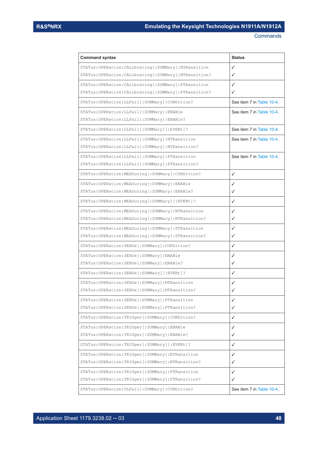| <b>Command syntax</b>                                    | <b>Status</b>             |
|----------------------------------------------------------|---------------------------|
| STATus: OPERation: CALibrating [: SUMMary]: NTRansition  | ✓                         |
| STATus: OPERation: CALibrating [: SUMMary]: NTRansition? | $\checkmark$              |
| STATus: OPERation: CALibrating [: SUMMary]: PTRansition  | ✓                         |
| STATus: OPERation: CALibrating [: SUMMary]: PTRansition? | ✓                         |
| STATus: OPERation: LLFail [: SUMMary]: CONDition?        | See item 7 in Table 10-4. |
| STATus: OPERation: LLFail [: SUMMary]: ENABle            | See item 7 in Table 10-4. |
| STATus: OPERation: LLFail [: SUMMary]: ENABle?           |                           |
| STATus: OPERation: LLFail [: SUMMary] [: EVENt] ?        | See item 7 in Table 10-4. |
| STATus: OPERation: LLFail [: SUMMary]: NTRansition       | See item 7 in Table 10-4. |
| STATus: OPERation: LLFail [: SUMMary]: NTRansition?      |                           |
| STATus: OPERation: LLFail [: SUMMary]: PTRansition       | See item 7 in Table 10-4  |
| STATus: OPERation: LLFail [: SUMMary]: PTRansition?      |                           |
| STATus: OPERation: MEASuring [: SUMMary]: CONDition?     | ✓                         |
| STATus: OPERation: MEASuring [: SUMMary]: ENABle         | ✓                         |
| STATus: OPERation: MEASuring [: SUMMary]: ENABle?        | ✓                         |
| STATus: OPERation: MEASuring [: SUMMary] [: EVENt]?      | ✓                         |
| STATus: OPERation: MEASuring [: SUMMary]: NTRansition    | ✓                         |
| STATus: OPERation: MEASuring [: SUMMary]: NTRansition?   | ✓                         |
| STATus: OPERation: MEASuring [: SUMMary]: PTRansition    | ✓                         |
| STATus: OPERation: MEASuring [: SUMMary]: PTRansition?   | ✓                         |
| STATus: OPERation: SENSe [: SUMMary]: CONDition?         | ✓                         |
| STATus: OPERation: SENSe [: SUMMary]: ENABle             | ✓                         |
| STATus: OPERation: SENSe [: SUMMary]: ENABle?            | ✓                         |
| STATus: OPERation: SENSe [: SUMMary] [: EVENt]?          | ✓                         |
| STATus: OPERation: SENSe [: SUMMary]: NTRansition        |                           |
| STATus: OPERation: SENSe [: SUMMary]: NTRansition?       |                           |
| STATus: OPERation: SENSe [: SUMMary]: PTRansition        | $\checkmark$              |
| STATus: OPERation: SENSe [: SUMMary]: PTRansition?       | ✓                         |
| STATus: OPERation: TRIGger [: SUMMary]: CONDition?       | ✓                         |
| STATus: OPERation: TRIGger [: SUMMary]: ENABle           | $\checkmark$              |
| STATus: OPERation: TRIGger [: SUMMary]: ENABle?          | ✓                         |
| STATus: OPERation: TRIGger [: SUMMary] [: EVENt] ?       | ✓                         |
| STATus: OPERation: TRIGger [: SUMMary]: NTRansition      | ✓                         |
| STATus: OPERation: TRIGger [: SUMMary]: NTRansition?     | ✓                         |
| STATus: OPERation: TRIGger [: SUMMary]: PTRansition      | ✓                         |
| STATus: OPERation: TRIGger [: SUMMary]: PTRansition?     | ✓                         |
| STATus: OPERation: ULFail [: SUMMary]: CONDition?        | See item 7 in Table 10-4. |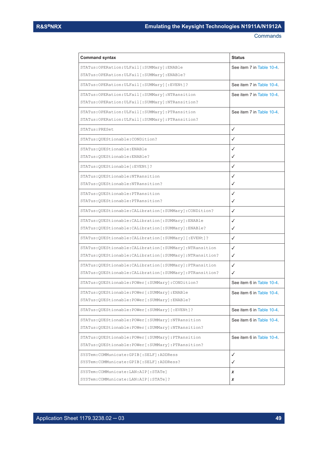| <b>Command syntax</b>                                       | <b>Status</b>             |
|-------------------------------------------------------------|---------------------------|
| STATus: OPERation: ULFail [: SUMMary]: ENABle               | See item 7 in Table 10-4. |
| STATus: OPERation: ULFail [: SUMMary]: ENABle?              |                           |
| STATus:OPERation:ULFail[:SUMMary][:EVENt]?                  | See item 7 in Table 10-4. |
| STATus: OPERation: ULFail [: SUMMary]: NTRansition          | See item 7 in Table 10-4. |
| STATus: OPERation: ULFail [: SUMMary]: NTRansition?         |                           |
| STATus: OPERation: ULFail [: SUMMary]: PTRansition          | See item 7 in Table 10-4. |
| STATus: OPERation: ULFail [: SUMMary]: PTRansition?         |                           |
| STATus: PRESet                                              | ✓                         |
| STATus:QUEStionable:CONDition?                              | ✓                         |
| STATus: QUEStionable: ENABle                                | ✓                         |
| STATus: OUEStionable: ENABle?                               | ✓                         |
| STATus: QUEStionable [: EVENt]?                             | ✓                         |
| STATus: OUEStionable: NTRansition                           | ✓                         |
| STATus: OUEStionable: NTRansition?                          | ✓                         |
| STATus: OUEStionable: PTRansition                           | ✓                         |
| STATus: QUEStionable: PTRansition?                          | ✓                         |
| STATus:QUEStionable:CALibration [:SUMMary]:CONDition?       | ✓                         |
| STATus: QUEStionable: CALibration [: SUMMary]: ENABle       | ✓                         |
| STATus: QUEStionable: CALibration [: SUMMary]: ENABle?      | ✓                         |
| STATus: QUEStionable: CALibration [: SUMMary] [: EVENt] ?   | ✓                         |
| STATus:QUEStionable:CALibration[:SUMMary]:NTRansition       | ✓                         |
| STATus: QUEStionable: CALibration [: SUMMary]: NTRansition? | ✓                         |
| STATus:QUEStionable:CALibration[:SUMMary]:PTRansition       | ✓                         |
| STATus:QUEStionable:CALibration[:SUMMary]:PTRansition?      | ✓                         |
| STATus:QUEStionable:POWer[:SUMMary]:CONDition?              | See item 6 in Table 10-4. |
| STATus:QUEStionable:POWer[:SUMMary]:ENABle                  | See item 6 in Table 10-4. |
| STATus:QUEStionable:POWer[:SUMMary]:ENABle?                 |                           |
| STATus: OUEStionable: POWer [: SUMMary] [: EVENt]?          | See item 6 in Table 10-4  |
| STATus: OUEStionable: POWer [: SUMMary]: NTRansition        | See item 6 in Table 10-4. |
| STATus: QUEStionable: POWer [: SUMMary]: NTRansition?       |                           |
| STATus: OUEStionable: POWer [: SUMMary]: PTRansition        | See item 6 in Table 10-4. |
| STATus:QUEStionable:POWer[:SUMMary]:PTRansition?            |                           |
| SYSTem:COMMunicate:GPIB[:SELF]:ADDRess                      | $\checkmark$              |
| SYSTem: COMMunicate: GPIB [: SELF]: ADDRess?                | $\checkmark$              |
| SYSTem: COMMunicate: LAN: AIP[: STATe]                      | x                         |
| SYSTem: COMMunicate: LAN: AIP [: STATe]?                    | x                         |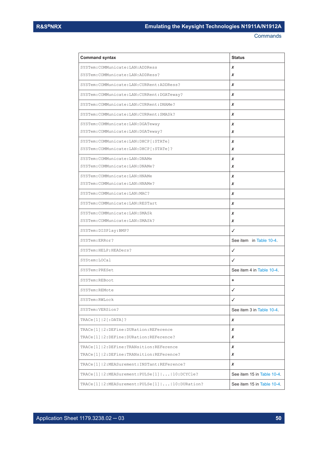| <b>Command syntax</b>                                  | <b>Status</b>              |
|--------------------------------------------------------|----------------------------|
| SYSTem: COMMunicate: LAN: ADDRess                      | x                          |
| SYSTem: COMMunicate: LAN: ADDRess?                     | x                          |
| SYSTem: COMMunicate: LAN: CURRent: ADDRess?            | x                          |
| SYSTem: COMMunicate: LAN: CURRent: DGATeway?           | x                          |
| SYSTem: COMMunicate: LAN: CURRent: DNAMe?              | x                          |
| SYSTem: COMMunicate: LAN: CURRent: SMASk?              | x                          |
| SYSTem: COMMunicate: LAN: DGATeway                     | x                          |
| SYSTem: COMMunicate: LAN: DGATeway?                    | x                          |
| SYSTem: COMMunicate: LAN: DHCP [: STATe]               | x                          |
| SYSTem: COMMunicate: LAN: DHCP [: STATe] ?             | x                          |
| SYSTem: COMMunicate: LAN: DNAMe                        | x                          |
| SYSTem: COMMunicate: LAN: DNAMe?                       | x                          |
| SYSTem: COMMunicate: LAN: HNAMe                        | x                          |
| SYSTem: COMMunicate: LAN: HNAMe?                       | x                          |
| SYSTem: COMMunicate: LAN: MAC?                         | x                          |
| SYSTem: COMMunicate: LAN: RESTart                      | x                          |
| SYSTem: COMMunicate: LAN: SMASk                        | x                          |
| SYSTem: COMMunicate: LAN: SMASk?                       | x                          |
| SYSTem: DISPlay: BMP?                                  | ✓                          |
| SYSTem:ERRor?                                          | See item in Table 10-4.    |
| SYSTem: HELP: HEADers?                                 | ✓                          |
| SYStem: LOCal                                          | ✓                          |
| SYSTem: PRESet                                         | See item 4 in Table 10-4   |
| SYSTem: REBoot                                         | ٠                          |
| SYSTem: REMote                                         | $\checkmark$               |
| SYSTem: RWLock                                         | ✓                          |
| SYSTem: VERSion?                                       | See item 3 in Table 10-4.  |
| $TRACE[1]   2[:DATA]$ ?                                | X                          |
| TRACe[1]   2: DEFine: DURation: REFerence              | x                          |
| TRACe[1] 2:DEFine:DURation:REFerence?                  | x                          |
| TRACe[1]   2: DEFine: TRANsition: REFerence            | x                          |
| TRACe[1]   2: DEFine: TRANsition: REFerence?           | x                          |
| TRACe[1]   2: MEASurement: INSTant: REFerence?         | X                          |
| TRACe[1]   2: MEASurement: PULSe[1]      10: DCYCle?   | See item 15 in Table 10-4. |
| TRACe[1]   2: MEASurement: PULSe[1]      10: DURation? | See item 15 in Table 10-4. |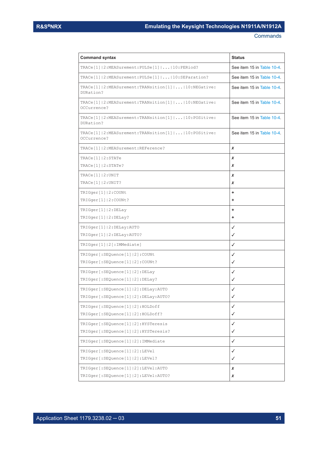| <b>Command syntax</b>                                                                      | <b>Status</b>              |
|--------------------------------------------------------------------------------------------|----------------------------|
| TRACe[1]   2: MEASurement: PULSe[1]      10: PERiod?                                       | See item 15 in Table 10-4. |
| TRACe[1]   2: MEASurement: PULSe[1]      10: SEParation?                                   | See item 15 in Table 10-4. |
| TRACe[1]   2: MEASurement: TRANsition [1]      10: NEGative:<br>DURation?                  | See item 15 in Table 10-4. |
| TRACe[1]   2: MEASurement: TRANsition [1]      10: NEGative:<br>OCCurrence?                | See item 15 in Table 10-4. |
| TRACe[1] 2:MEASurement:TRANsition[1]  10:POSitive:<br>DURation?                            | See item 15 in Table 10-4  |
| $\texttt{TRACE[1]}$ 2:MEASurement: $\texttt{TRANSition[1]}$   10: POSitive:<br>OCCurrence? | See item 15 in Table 10-4. |
| TRACe[1]   2: MEASurement: REFerence?                                                      | x                          |
| TRACE[1]   2:STATE                                                                         | x                          |
| TRACe[1]   2: STATe?                                                                       | x                          |
| TRACE[1]   2:UNIT                                                                          | x                          |
| $\texttt{TRACE}[1]   2: \texttt{UNIT?}$                                                    | x                          |
| TRIGger[1] 2:COUNt                                                                         | ٠                          |
| TRIGger[1] 2:COUNt?                                                                        | ٠                          |
| TRIGger[1] 2:DELay                                                                         | ٠                          |
| TRIGger[1] 2:DELay?                                                                        | ٠                          |
| TRIGger[1] 2:DELay:AUTO                                                                    | ✓                          |
| TRIGger[1] 2:DELay:AUTO?                                                                   | ✓                          |
| TRIGger[1] 2[:IMMediate]                                                                   | ✓                          |
| TRIGger [: SEQuence [1]   2] : COUNt                                                       | ✓                          |
| TRIGger [: SEQuence [1]   2] : COUNt?                                                      | ✓                          |
| TRIGger [: SEQuence [1]   2] : DELay                                                       | ✓                          |
| TRIGger [: SEQuence [1]   2] : DELay?                                                      | ✓                          |
| TRIGger [: SEQuence [1]   2] : DELay: AUTO                                                 | ✓                          |
| TRIGger [: SEQuence [1]   2] : DELay: AUTO?                                                | ✓                          |
| TRIGger [: SEQuence [1]   2] : HOLDoff                                                     | ✓                          |
| TRIGger [: SEQuence [1]   2] : HOLDoff?                                                    | ✓                          |
| TRIGger[:SEQuence[1] 2]:HYSTeresis                                                         | ✓                          |
| TRIGger[:SEQuence[1] 2]:HYSTeresis?                                                        | ✓                          |
| TRIGger [: SEQuence [1]   2] : IMMediate                                                   | ✓                          |
| TRIGger [: SEQuence [1]   2] : LEVel                                                       | ✓                          |
| TRIGger [: SEQuence [1]   2] : LEVel?                                                      | ✓                          |
| TRIGger [: SEQuence [1]   2] : LEVel: AUTO                                                 | x                          |
| TRIGger [: SEQuence [1]   2] : LEVel: AUTO?                                                | x                          |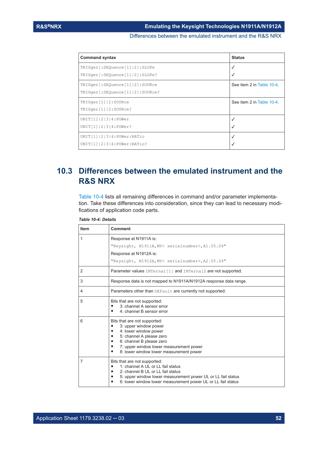Differences between the emulated instrument and the R&S NRX

<span id="page-51-0"></span>

| <b>Command syntax</b>                  | <b>Status</b>             |
|----------------------------------------|---------------------------|
| TRIGger [: SEQuence [1]   2] : SLOPe   | √                         |
| TRIGger [: SEQuence [1]   2] : SLOPe?  |                           |
| TRIGger [: SEQuence [1]   2] : SOURce  | See item 2 in Table 10-4. |
| TRIGger [: SEQuence [1]   2] : SOURce? |                           |
| TRIGger[1] 2:SOURce                    | See item 2 in Table 10-4. |
| TRIGger[1] 2:SOURce?                   |                           |
| UNIT[1]   2   3   4 : POWer            | √                         |
| UNIT[1]   2   3   4 : POWer?           |                           |
| UNIT[1]  2 3 4:POWer: RATio            |                           |
| UNIT[1]   2   3   4: POWer: RATio?     |                           |

# **10.3 Differences between the emulated instrument and the R&S NRX**

Table 10-4 lists all remaining differences in command and/or parameter implementation. Take these differences into consideration, since they can lead to necessary modifications of application code parts.

| <b>Item</b>    | <b>Comment</b>                                                                                                                                                                                                                                                     |
|----------------|--------------------------------------------------------------------------------------------------------------------------------------------------------------------------------------------------------------------------------------------------------------------|
| 1              | Response at N1911A is:<br>"Keysight, N1911A, MY< serialnumber>, A1.05.04"<br>Response at N1912A is:<br>"Keysight, N1912A, MY< serialnumber>, A2.05.04"                                                                                                             |
| 2              | Parameter values INTernal [1] and INTernal2 are not supported.                                                                                                                                                                                                     |
| 3              | Response data is not mapped to N1911A/N1912A response data range.                                                                                                                                                                                                  |
| 4              | Parameters other than DEFault are currently not supported.                                                                                                                                                                                                         |
| 5              | Bits that are not supported:<br>3: channel A sensor error<br>$\bullet$<br>4: channel B sensor error<br>٠                                                                                                                                                           |
| 6              | Bits that are not supported:<br>3: upper window power<br>٠<br>4: lower window power<br>٠<br>5: channel A please zero<br>$\bullet$<br>6: channel B please zero<br>٠<br>7: upper window lower measurement power<br>٠<br>8: lower window lower measurement power<br>٠ |
| $\overline{7}$ | Bits that are not supported:<br>1: channel A UL or LL fail status<br>٠<br>2: channel B UL or LL fail status<br>5: upper window lower measurement power UL or LL fail status<br>٠<br>6: lower window lower measurement power UL or LL fail status                   |

*Table 10-4: Details*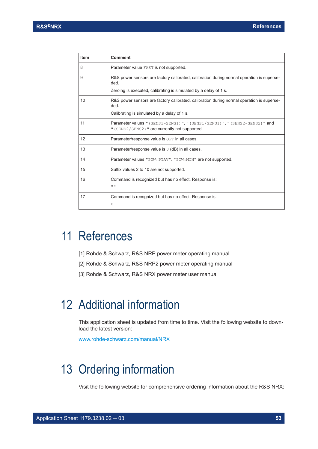<span id="page-52-0"></span>

| <b>Item</b> | <b>Comment</b>                                                                                                                                                        |
|-------------|-----------------------------------------------------------------------------------------------------------------------------------------------------------------------|
| 8           | Parameter value FAST is not supported.                                                                                                                                |
| 9           | R&S power sensors are factory calibrated, calibration during normal operation is superse-<br>ded.<br>Zeroing is executed, calibrating is simulated by a delay of 1 s. |
|             |                                                                                                                                                                       |
| 10          | R&S power sensors are factory calibrated, calibration during normal operation is superse-<br>ded.                                                                     |
|             | Calibrating is simulated by a delay of 1 s.                                                                                                                           |
| 11          | Parameter values " (SENS1-SENS1) ", " (SENS1/SENS1) ", " (SENS2-SENS2) " and<br>" (SENS2/SENS2) " are currently not supported.                                        |
| 12          | Parameter/response value is OFF in all cases.                                                                                                                         |
| 13          | Parameter/response value is $0$ (dB) in all cases.                                                                                                                    |
| 14          | Parameter values "POW: PTAV", "POW: MIN" are not supported.                                                                                                           |
| 15          | Suffix values 2 to 10 are not supported.                                                                                                                              |
| 16          | Command is recognized but has no effect. Response is:<br>11.11                                                                                                        |
| 17          | Command is recognized but has no effect. Response is:<br>0                                                                                                            |

# 11 References

- [1] Rohde & Schwarz, R&S NRP power meter operating manual
- [2] Rohde & Schwarz, R&S NRP2 power meter operating manual
- [3] Rohde & Schwarz, R&S NRX power meter user manual

# 12 Additional information

This application sheet is updated from time to time. Visit the following website to download the latest version:

[www.rohde-schwarz.com/manual/NRX](http://www.rohde-schwarz.com/manual/NRX)

# 13 Ordering information

Visit the following website for comprehensive ordering information about the R&S NRX: